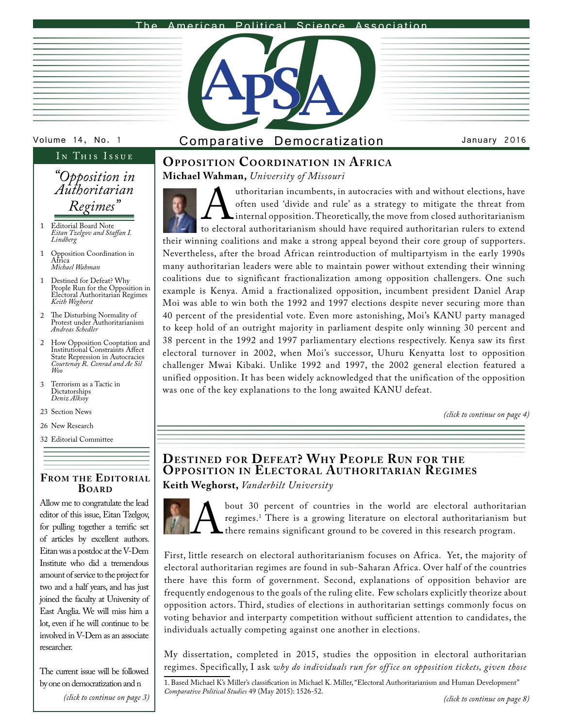#### <span id="page-0-0"></span>The American Political Science Association



|  | the contract of the contract of the contract of the contract of the contract of                                 |  |
|--|-----------------------------------------------------------------------------------------------------------------|--|
|  | the control of the control of the control of the control of the control of the control of                       |  |
|  |                                                                                                                 |  |
|  |                                                                                                                 |  |
|  | the contract of the contract of the contract of the contract of the contract of the contract of the contract of |  |
|  | the contract of the contract of the contract of the contract of the contract of the contract of the contract of |  |
|  | the contract of the contract of the contract of the contract of the contract of the contract of the contract of |  |
|  |                                                                                                                 |  |
|  |                                                                                                                 |  |
|  | the contract of the contract of the contract of the contract of the contract of the contract of the contract of |  |
|  | the contract of the contract of the contract of the contract of the contract of the contract of the contract of |  |
|  |                                                                                                                 |  |
|  |                                                                                                                 |  |
|  | the contract of the contract of the contract of the contract of the contract of the contract of the contract of |  |
|  |                                                                                                                 |  |
|  |                                                                                                                 |  |

## IN THIS ISSUE

## *"Opposition in Authoritarian Regimes"*

- Editorial Board Note *Eitan Tzelgov and Staffan I. Lindberg* 1
- Opposition Coordination in Africa *Michael Wahman* 1
- Destined for Defeat? Why People Run for the Opposition in Electoral Authoritarian Regimes *Keith Weghorst* 1
- Ihe Disturbing Normality of<br>Protest under Authoritarianism *Andreas Schedler* 2
- How Opposition Cooptation and Institutional Constraints Affect 2 State Repression in Autocracies *Courtenay R. Conrad and Ae Sil Woo*
- Terrorism as a Tactic in Dictatorships *Deniz Alksoy* 3
- 23 Section News
- 26 New Research
- 32 Editorial Committee

### **From the Editorial Board**

Allow me to congratulate the lead editor of this issue, Eitan Tzelgov, for pulling together a terrific set of articles by excellent authors. Eitan was a postdoc at the V-Dem Institute who did a tremendous amount of service to the project for two and a half years, and has just joined the faculty at University of East Anglia. We will miss him a lot, even if he will continue to be involved in V-Dem as an associate researcher.

The current issue will be followed by one on democratization and n *[\(click to continue on page 3\)](#page-2-0)*

## Volume 14, No. 1 Comparative Democratization January 2016

### **Opposition Coordination in Africa Michael Wahman,** *University of Missouri*

authoritarian incumbents, in autocracies with and without elections, have often used 'divide and rule' as a strategy to mitigate the threat from internal opposition. Theoretically, the move from closed authoritarianism to often used 'divide and rule' as a strategy to mitigate the threat from internal opposition. Theoretically, the move from closed authoritarianism their winning coalitions and make a strong appeal beyond their core group of supporters. Nevertheless, after the broad African reintroduction of multipartyism in the early 1990s many authoritarian leaders were able to maintain power without extending their winning coalitions due to significant fractionalization among opposition challengers. One such example is Kenya. Amid a fractionalized opposition, incumbent president Daniel Arap Moi was able to win both the 1992 and 1997 elections despite never securing more than 40 percent of the presidential vote. Even more astonishing, Moi's KANU party managed to keep hold of an outright majority in parliament despite only winning 30 percent and 38 percent in the 1992 and 1997 parliamentary elections respectively. Kenya saw its first electoral turnover in 2002, when Moi's successor, Uhuru Kenyatta lost to opposition challenger Mwai Kibaki. Unlike 1992 and 1997, the 2002 general election featured a unified opposition. It has been widely acknowledged that the unification of the opposition was one of the key explanations to the long awaited KANU defeat.

*[\(click to continue on page 4\)](#page-3-0)*

## **DESTINED FOR DEFEAT? WHY PEOPLE RUN FOR THE OPPOSITION IN ELECTORAL AUTHORITARIAN REGIMES Keith Weghorst,** *Vanderbilt University*

bout 30 percent of countries in the world are electoral authoritarian<br>regimes.<sup>1</sup> There is a growing literature on electoral authoritarianism but<br>there remains significant ground to be covered in this research program. regimes.1 There is a growing literature on electoral authoritarianism but there remains significant ground to be covered in this research program.

First, little research on electoral authoritarianism focuses on Africa. Yet, the majority of electoral authoritarian regimes are found in sub-Saharan Africa. Over half of the countries there have this form of government. Second, explanations of opposition behavior are frequently endogenous to the goals of the ruling elite. Few scholars explicitly theorize about opposition actors. Third, studies of elections in authoritarian settings commonly focus on voting behavior and interparty competition without sufficient attention to candidates, the individuals actually competing against one another in elections.

My dissertation, completed in 2015, studies the opposition in electoral authoritarian regimes. Specifically, I ask *why do individuals run for off ice on opposition tickets, given those* 

1. Based Michael K's Miller's classification in Michael K. Miller, "Electoral Authoritarianism and Human Development" *Comparative Political Studies* 49 (May 2015): 1526-52.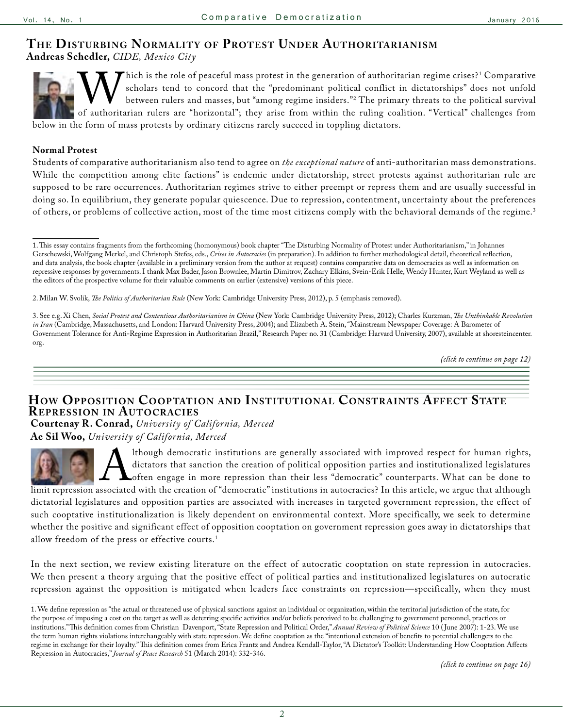# <span id="page-1-0"></span>**The Disturbing Normalit y of Protest Under Au thoritarianism**

**Andreas Schedler,** *CIDE, Mexico City* 

Scholars tend to concord that the "predominant political conflict in dictatorships" does<br>between rulers and masses, but "among regime insiders."<sup>2</sup> The primary threats to the polor authoritarian rulers are "horizontal"; th Thich is the role of peaceful mass protest in the generation of authoritarian regime crises?<sup>1</sup> Comparative scholars tend to concord that the "predominant political conflict in dictatorships" does not unfold between rulers and masses, but "among regime insiders."2 The primary threats to the political survival of authoritarian rulers are "horizontal"; they arise from within the ruling coalition. "Vertical" challenges from below in the form of mass protests by ordinary citizens rarely succeed in toppling dictators.

### **Normal Protest**

Students of comparative authoritarianism also tend to agree on *the exceptional nature* of anti-authoritarian mass demonstrations. While the competition among elite factions" is endemic under dictatorship, street protests against authoritarian rule are supposed to be rare occurrences. Authoritarian regimes strive to either preempt or repress them and are usually successful in doing so. In equilibrium, they generate popular quiescence. Due to repression, contentment, uncertainty about the preferences of others, or problems of collective action, most of the time most citizens comply with the behavioral demands of the regime.3

*[\(click to continue on page 12\)](#page-11-0)*

### **How Opposition Cooptation and Institutional Constraints Affect State Repression in Au tocracies**

**Courtenay R. Conrad,** *University of California, Merced* **Ae Sil Woo,** *University of California, Merced*

Ithough democratic institutions are generally associated with improved respect for human rights,<br>dictators that sanction the creation of political opposition parties and institutionalized legislatures<br>sociated with the cre dictators that sanction the creation of political opposition parties and institutionalized legislatures often engage in more repression than their less "democratic" counterparts. What can be done to limit repression associated with the creation of "democratic" institutions in autocracies? In this article, we argue that although dictatorial legislatures and opposition parties are associated with increases in targeted government repression, the effect of such cooptative institutionalization is likely dependent on environmental context. More specifically, we seek to determine whether the positive and significant effect of opposition cooptation on government repression goes away in dictatorships that allow freedom of the press or effective courts.<sup>1</sup>

In the next section, we review existing literature on the effect of autocratic cooptation on state repression in autocracies. We then present a theory arguing that the positive effect of political parties and institutionalized legislatures on autocratic repression against the opposition is mitigated when leaders face constraints on repression—specifically, when they must

*[\(click to continue on page 16\)](#page-15-0)*

<sup>1.</sup> This essay contains fragments from the forthcoming (homonymous) book chapter "The Disturbing Normality of Protest under Authoritarianism," in Johannes Gerschewski, Wolfgang Merkel, and Christoph Stefes, eds., *Crises in Autocracies* (in preparation). In addition to further methodological detail, theoretical reflection, and data analysis, the book chapter (available in a preliminary version from the author at request) contains comparative data on democracies as well as information on repressive responses by governments. I thank Max Bader, Jason Brownlee, Martin Dimitrov, Zachary Elkins, Svein-Erik Helle, Wendy Hunter, Kurt Weyland as well as the editors of the prospective volume for their valuable comments on earlier (extensive) versions of this piece.

<sup>2.</sup> Milan W. Svolik, *The Politics of Authoritarian Rule* (New York: Cambridge University Press, 2012), p. 5 (emphasis removed).

<sup>3.</sup> See e.g. Xi Chen, *Social Protest and Contentious Authoritarianism in China* (New York: Cambridge University Press, 2012); Charles Kurzman, *The Unthinkable Revolution in Iran* (Cambridge, Massachusetts, and London: Harvard University Press, 2004); and Elizabeth A. Stein, "Mainstream Newspaper Coverage: A Barometer of Government Tolerance for Anti-Regime Expression in Authoritarian Brazil," Research Paper no. 31 (Cambridge: Harvard University, 2007), available at shoresteincenter. org.

<sup>1.</sup> We define repression as "the actual or threatened use of physical sanctions against an individual or organization, within the territorial jurisdiction of the state, for the purpose of imposing a cost on the target as well as deterring specific activities and/or beliefs perceived to be challenging to government personnel, practices or institutions." This definition comes from Christian Davenport, "State Repression and Political Order," *Annual Review of Political Science* 10 ( June 2007): 1-23. We use the term human rights violations interchangeably with state repression. We define cooptation as the "intentional extension of benefits to potential challengers to the regime in exchange for their loyalty." This definition comes from Erica Frantz and Andrea Kendall-Taylor, "A Dictator's Toolkit: Understanding How Cooptation Affects Repression in Autocracies," *Journal of Peace Research* 51 (March 2014): 332-346.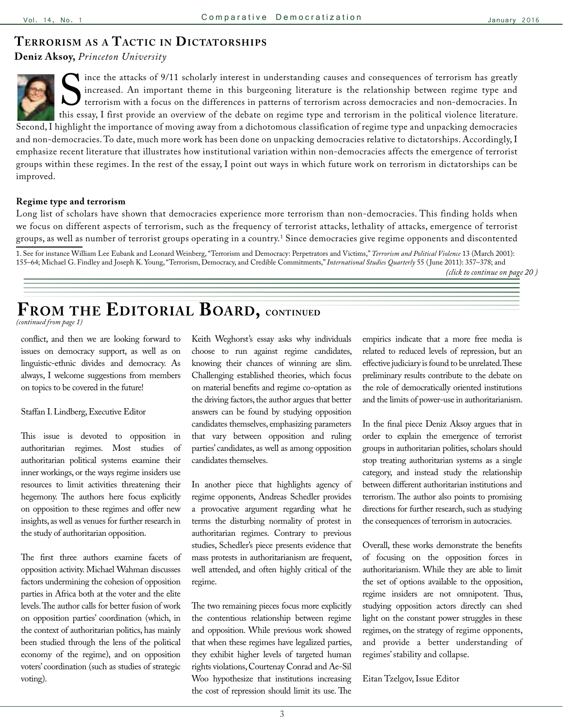### <span id="page-2-0"></span>**Terrorism as a Tactic in Dictatorships**

**Deniz Aksoy,** *Princeton University*



improved.

Since the attacks of 9/11 scholarly interest in understanding causes and consequences of terrorism has greatly<br>increased. An important theme in this burgeoning literature is the relationship between regime type and<br>terrori increased. An important theme in this burgeoning literature is the relationship between regime type and terrorism with a focus on the differences in patterns of terrorism across democracies and non-democracies. In this essay, I first provide an overview of the debate on regime type and terrorism in the political violence literature. Second, I highlight the importance of moving away from a dichotomous classification of regime type and unpacking democracies and non-democracies. To date, much more work has been done on unpacking democracies relative to dictatorships. Accordingly, I emphasize recent literature that illustrates how institutional variation within non-democracies affects the emergence of terrorist groups within these regimes. In the rest of the essay, I point out ways in which future work on terrorism in dictatorships can be

#### **Regime type and terrorism**

Long list of scholars have shown that democracies experience more terrorism than non-democracies. This finding holds when we focus on different aspects of terrorism, such as the frequency of terrorist attacks, lethality of attacks, emergence of terrorist groups, as well as number of terrorist groups operating in a country.1 Since democracies give regime opponents and discontented

1. See for instance William Lee Eubank and Leonard Weinberg, "Terrorism and Democracy: Perpetrators and Victims," *Terrorism and Political Violence* 13 (March 2001): 155–64; Michael G. Findley and Joseph K. Young, "Terrorism, Democracy, and Credible Commitments," *International Studies Quarterly* 55 ( June 2011): 357–378; and *[\(click to continue on page 20 \)](#page-19-0)*

**From the Editorial Board, continued**

*[\(continued from page 1\)](#page-0-0)*

conflict, and then we are looking forward to issues on democracy support, as well as on linguistic-ethnic divides and democracy. As always, I welcome suggestions from members on topics to be covered in the future!

#### Staffan I. Lindberg, Executive Editor

This issue is devoted to opposition in authoritarian regimes. Most studies of authoritarian political systems examine their inner workings, or the ways regime insiders use resources to limit activities threatening their hegemony. The authors here focus explicitly on opposition to these regimes and offer new insights, as well as venues for further research in the study of authoritarian opposition.

The first three authors examine facets of opposition activity. Michael Wahman discusses factors undermining the cohesion of opposition parties in Africa both at the voter and the elite levels. The author calls for better fusion of work on opposition parties' coordination (which, in the context of authoritarian politics, has mainly been studied through the lens of the political economy of the regime), and on opposition voters' coordination (such as studies of strategic voting).

Keith Weghorst's essay asks why individuals choose to run against regime candidates, knowing their chances of winning are slim. Challenging established theories, which focus on material benefits and regime co-optation as the driving factors, the author argues that better answers can be found by studying opposition candidates themselves, emphasizing parameters that vary between opposition and ruling parties' candidates, as well as among opposition candidates themselves.

In another piece that highlights agency of regime opponents, Andreas Schedler provides a provocative argument regarding what he terms the disturbing normality of protest in authoritarian regimes. Contrary to previous studies, Schedler's piece presents evidence that mass protests in authoritarianism are frequent, well attended, and often highly critical of the regime.

The two remaining pieces focus more explicitly the contentious relationship between regime and opposition. While previous work showed that when these regimes have legalized parties, they exhibit higher levels of targeted human rights violations, Courtenay Conrad and Ae-Sil Woo hypothesize that institutions increasing the cost of repression should limit its use. The

empirics indicate that a more free media is related to reduced levels of repression, but an effective judiciary is found to be unrelated. These preliminary results contribute to the debate on the role of democratically oriented institutions and the limits of power-use in authoritarianism.

In the final piece Deniz Aksoy argues that in order to explain the emergence of terrorist groups in authoritarian polities, scholars should stop treating authoritarian systems as a single category, and instead study the relationship between different authoritarian institutions and terrorism. The author also points to promising directions for further research, such as studying the consequences of terrorism in autocracies.

Overall, these works demonstrate the benefits of focusing on the opposition forces in authoritarianism. While they are able to limit the set of options available to the opposition, regime insiders are not omnipotent. Thus, studying opposition actors directly can shed light on the constant power struggles in these regimes, on the strategy of regime opponents, and provide a better understanding of regimes' stability and collapse.

Eitan Tzelgov, Issue Editor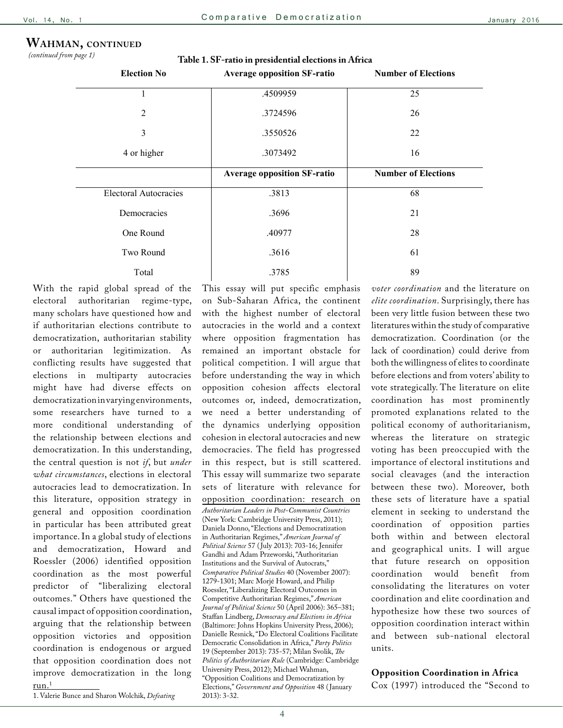### <span id="page-3-0"></span>**Wahman, continued**

*[\(continued from page 1\)](#page-0-0)*

**Table 1. SF-ratio in presidential elections in Africa**

| <b>Election No</b>           | <b>Average opposition SF-ratio</b> | <b>Number of Elections</b> |  |
|------------------------------|------------------------------------|----------------------------|--|
|                              | .4509959                           | 25                         |  |
| $\overline{2}$               | .3724596                           | 26                         |  |
| 3                            | .3550526                           | 22                         |  |
| 4 or higher                  | .3073492                           | 16                         |  |
|                              | <b>Average opposition SF-ratio</b> | <b>Number of Elections</b> |  |
| <b>Electoral Autocracies</b> | .3813                              | 68                         |  |
| Democracies                  | .3696                              | 21                         |  |
| One Round                    | .40977                             | 28                         |  |
| Two Round                    | .3616                              | 61                         |  |
| Total                        | 89<br>.3785                        |                            |  |

With the rapid global spread of the electoral authoritarian regime-type, many scholars have questioned how and if authoritarian elections contribute to democratization, authoritarian stability or authoritarian legitimization. As conflicting results have suggested that elections in multiparty autocracies might have had diverse effects on democratization in varying environments, some researchers have turned to a more conditional understanding of the relationship between elections and democratization. In this understanding, the central question is not *if*, but *under what circumstances*, elections in electoral autocracies lead to democratization. In this literature, opposition strategy in general and opposition coordination in particular has been attributed great importance. In a global study of elections and democratization, Howard and Roessler (2006) identified opposition coordination as the most powerful predictor of "liberalizing electoral outcomes." Others have questioned the causal impact of opposition coordination, arguing that the relationship between opposition victories and opposition coordination is endogenous or argued that opposition coordination does not improve democratization in the long  $run.<sup>1</sup>$ 

1. Valerie Bunce and Sharon Wolchik, *Defeating* 

This essay will put specific emphasis on Sub-Saharan Africa, the continent with the highest number of electoral autocracies in the world and a context where opposition fragmentation has remained an important obstacle for political competition. I will argue that before understanding the way in which opposition cohesion affects electoral outcomes or, indeed, democratization, we need a better understanding of the dynamics underlying opposition cohesion in electoral autocracies and new democracies. The field has progressed in this respect, but is still scattered. This essay will summarize two separate sets of literature with relevance for opposition coordination: research on *Authoritarian Leaders in Post-Communist Countries* (New York: Cambridge University Press, 2011); Daniela Donno, "Elections and Democratization in Authoritarian Regimes," *American Journal of Political Science* 57 ( July 2013): 703-16; Jennifer Gandhi and Adam Przeworski, "Authoritarian Institutions and the Survival of Autocrats," *Comparative Political Studies* 40 (November 2007):

1279-1301; Marc Morjé Howard, and Philip Roessler, "Liberalizing Electoral Outcomes in Competitive Authoritarian Regimes," *American Journal of Political Science* 50 (April 2006): 365–381; Staffan Lindberg, *Democracy and Elections in Africa* (Baltimore: Johns Hopkins University Press, 2006); Danielle Resnick, "Do Electoral Coalitions Facilitate Democratic Consolidation in Africa," *Party Politics*  19 (September 2013): 735-57; Milan Svolik, *The Politics of Authoritarian Rule* (Cambridge: Cambridge University Press, 2012); Michael Wahman, "Opposition Coalitions and Democratization by Elections," *Government and Opposition* 48 ( January 2013): 3-32.

*voter coordination* and the literature on *elite coordination*. Surprisingly, there has been very little fusion between these two literatures within the study of comparative democratization. Coordination (or the lack of coordination) could derive from both the willingness of elites to coordinate before elections and from voters' ability to vote strategically. The literature on elite coordination has most prominently promoted explanations related to the political economy of authoritarianism, whereas the literature on strategic voting has been preoccupied with the importance of electoral institutions and social cleavages (and the interaction between these two). Moreover, both these sets of literature have a spatial element in seeking to understand the coordination of opposition parties both within and between electoral and geographical units. I will argue that future research on opposition coordination would benefit from consolidating the literatures on voter coordination and elite coordination and hypothesize how these two sources of opposition coordination interact within and between sub-national electoral units.

#### **Opposition Coordination in Africa**

Cox (1997) introduced the "Second to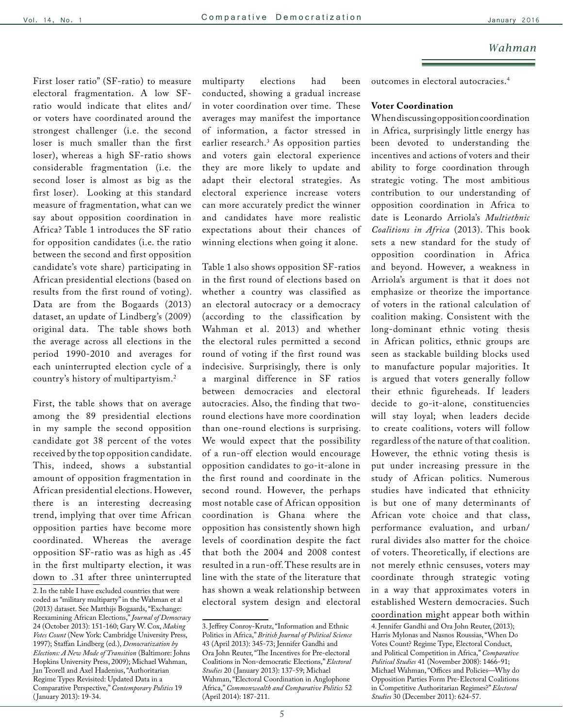#### *Wahman*

First loser ratio" (SF-ratio) to measure electoral fragmentation. A low SFratio would indicate that elites and/ or voters have coordinated around the strongest challenger (i.e. the second loser is much smaller than the first loser), whereas a high SF-ratio shows considerable fragmentation (i.e. the second loser is almost as big as the first loser). Looking at this standard measure of fragmentation, what can we say about opposition coordination in Africa? Table 1 introduces the SF ratio for opposition candidates (i.e. the ratio between the second and first opposition candidate's vote share) participating in African presidential elections (based on results from the first round of voting). Data are from the Bogaards (2013) dataset, an update of Lindberg's (2009) original data. The table shows both the average across all elections in the period 1990-2010 and averages for each uninterrupted election cycle of a country's history of multipartyism.2

First, the table shows that on average among the 89 presidential elections in my sample the second opposition candidate got 38 percent of the votes received by the top opposition candidate. This, indeed, shows a substantial amount of opposition fragmentation in African presidential elections. However, there is an interesting decreasing trend, implying that over time African opposition parties have become more coordinated. Whereas the average opposition SF-ratio was as high as .45 in the first multiparty election, it was down to .31 after three uninterrupted multiparty elections had been conducted, showing a gradual increase in voter coordination over time. These averages may manifest the importance of information, a factor stressed in earlier research.3 As opposition parties and voters gain electoral experience they are more likely to update and adapt their electoral strategies. As electoral experience increase voters can more accurately predict the winner and candidates have more realistic expectations about their chances of winning elections when going it alone.

Table 1 also shows opposition SF-ratios in the first round of elections based on whether a country was classified as an electoral autocracy or a democracy (according to the classification by Wahman et al. 2013) and whether the electoral rules permitted a second round of voting if the first round was indecisive. Surprisingly, there is only a marginal difference in SF ratios between democracies and electoral autocracies. Also, the finding that tworound elections have more coordination than one-round elections is surprising. We would expect that the possibility of a run-off election would encourage opposition candidates to go-it-alone in the first round and coordinate in the second round. However, the perhaps most notable case of African opposition coordination is Ghana where the opposition has consistently shown high levels of coordination despite the fact that both the 2004 and 2008 contest resulted in a run-off. These results are in line with the state of the literature that has shown a weak relationship between electoral system design and electoral

outcomes in electoral autocracies.4

### **Voter Coordination**

When discussing opposition coordination in Africa, surprisingly little energy has been devoted to understanding the incentives and actions of voters and their ability to forge coordination through strategic voting. The most ambitious contribution to our understanding of opposition coordination in Africa to date is Leonardo Arriola's *Multiethnic Coalitions in Africa* (2013). This book sets a new standard for the study of opposition coordination in Africa and beyond. However, a weakness in Arriola's argument is that it does not emphasize or theorize the importance of voters in the rational calculation of coalition making. Consistent with the long-dominant ethnic voting thesis in African politics, ethnic groups are seen as stackable building blocks used to manufacture popular majorities. It is argued that voters generally follow their ethnic figureheads. If leaders decide to go-it-alone, constituencies will stay loyal; when leaders decide to create coalitions, voters will follow regardless of the nature of that coalition. However, the ethnic voting thesis is put under increasing pressure in the study of African politics. Numerous studies have indicated that ethnicity is but one of many determinants of African vote choice and that class, performance evaluation, and urban/ rural divides also matter for the choice of voters. Theoretically, if elections are not merely ethnic censuses, voters may coordinate through strategic voting in a way that approximates voters in established Western democracies. Such coordination might appear both within 4. Jennifer Gandhi and Ora John Reuter, (2013); Harris Mylonas and Nasnos Roussias, "When Do Votes Count? Regime Type, Electoral Conduct, and Political Competition in Africa," *Comparative Political Studies* 41 (November 2008): 1466-91; Michael Wahman, "Offices and Policies—Why do Opposition Parties Form Pre-Electoral Coalitions in Competitive Authoritarian Regimes?" *Electoral Studies* 30 (December 2011): 624-57.

<sup>2.</sup> In the table I have excluded countries that were coded as "military multiparty" in the Wahman et al (2013) dataset. See Matthijs Bogaards, "Exchange: Reexamining African Elections," *Journal of Democracy* 24 (October 2013): 151-160; Gary W. Cox, *Making Votes Count* (New York: Cambridge University Press, 1997); Staffan Lindberg (ed.), *Democratization by Elections: A New Mode of Transition* (Baltimore: Johns Hopkins University Press, 2009); Michael Wahman, Jan Teorell and Axel Hadenius, "Authoritarian Regime Types Revisited: Updated Data in a Comparative Perspective," *Contemporary Politics* 19 ( January 2013): 19-34.

<sup>3.</sup> Jeffrey Conroy-Krutz, "Information and Ethnic Politics in Africa," *British Journal of Political Science* 43 (April 2013): 345-73; Jennifer Gandhi and Ora John Reuter, "The Incentives for Pre-electoral Coalitions in Non-democratic Elections," *Electoral Studies* 20 ( January 2013): 137-59; Michael Wahman, "Electoral Coordination in Anglophone Africa," *Commonwealth and Comparative Politics* 52 (April 2014): 187-211.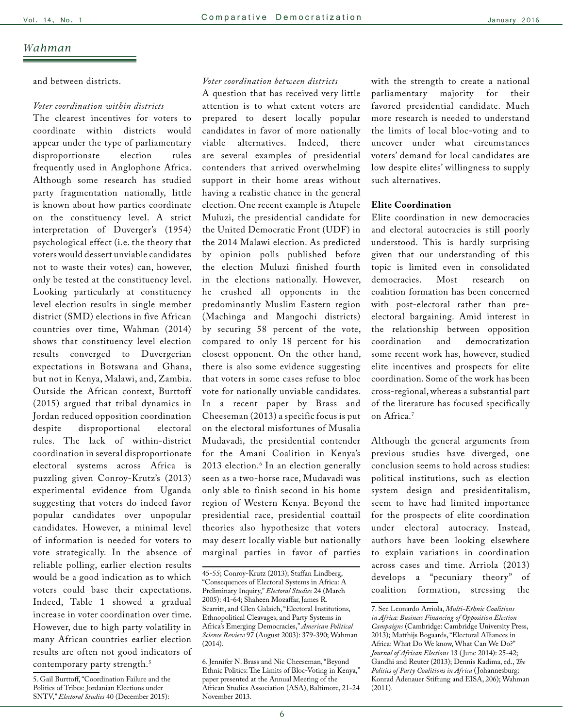### *Wahman*

and between districts.

#### *Voter coordination within districts*

The clearest incentives for voters to coordinate within districts would appear under the type of parliamentary disproportionate election rules frequently used in Anglophone Africa. Although some research has studied party fragmentation nationally, little is known about how parties coordinate on the constituency level. A strict interpretation of Duverger's (1954) psychological effect (i.e. the theory that voters would dessert unviable candidates not to waste their votes) can, however, only be tested at the constituency level. Looking particularly at constituency level election results in single member district (SMD) elections in five African countries over time, Wahman (2014) shows that constituency level election results converged to Duvergerian expectations in Botswana and Ghana, but not in Kenya, Malawi, and, Zambia. Outside the African context, Burttoff (2015) argued that tribal dynamics in Jordan reduced opposition coordination despite disproportional electoral rules. The lack of within-district coordination in several disproportionate electoral systems across Africa is puzzling given Conroy-Krutz's (2013) experimental evidence from Uganda suggesting that voters do indeed favor popular candidates over unpopular candidates. However, a minimal level of information is needed for voters to vote strategically. In the absence of reliable polling, earlier election results would be a good indication as to which voters could base their expectations. Indeed, Table 1 showed a gradual increase in voter coordination over time. However, due to high party volatility in many African countries earlier election results are often not good indicators of contemporary party strength.<sup>5</sup>

#### *Voter coordination between districts*

A question that has received very little attention is to what extent voters are prepared to desert locally popular candidates in favor of more nationally viable alternatives. Indeed, there are several examples of presidential contenders that arrived overwhelming support in their home areas without having a realistic chance in the general election. One recent example is Atupele Muluzi, the presidential candidate for the United Democratic Front (UDF) in the 2014 Malawi election. As predicted by opinion polls published before the election Muluzi finished fourth in the elections nationally. However, he crushed all opponents in the predominantly Muslim Eastern region (Machinga and Mangochi districts) by securing 58 percent of the vote, compared to only 18 percent for his closest opponent. On the other hand, there is also some evidence suggesting that voters in some cases refuse to bloc vote for nationally unviable candidates. In a recent paper by Brass and Cheeseman (2013) a specific focus is put on the electoral misfortunes of Musalia Mudavadi, the presidential contender for the Amani Coalition in Kenya's 2013 election.6 In an election generally seen as a two-horse race, Mudavadi was only able to finish second in his home region of Western Kenya. Beyond the presidential race, presidential coattail theories also hypothesize that voters may desert locally viable but nationally marginal parties in favor of parties

with the strength to create a national parliamentary majority for their favored presidential candidate. Much more research is needed to understand the limits of local bloc-voting and to uncover under what circumstances voters' demand for local candidates are low despite elites' willingness to supply such alternatives.

#### **Elite Coordination**

Elite coordination in new democracies and electoral autocracies is still poorly understood. This is hardly surprising given that our understanding of this topic is limited even in consolidated democracies. Most research on coalition formation has been concerned with post-electoral rather than preelectoral bargaining. Amid interest in the relationship between opposition coordination and democratization some recent work has, however, studied elite incentives and prospects for elite coordination. Some of the work has been cross-regional, whereas a substantial part of the literature has focused specifically on Africa.7

Although the general arguments from previous studies have diverged, one conclusion seems to hold across studies: political institutions, such as election system design and presidentitalism, seem to have had limited importance for the prospects of elite coordination under electoral autocracy. Instead, authors have been looking elsewhere to explain variations in coordination across cases and time. Arriola (2013) develops a "pecuniary theory" of coalition formation, stressing the

<sup>5.</sup> Gail Burttoff, "Coordination Failure and the Politics of Tribes: Jordanian Elections under SNTV," *Electoral Studies* 40 (December 2015):

<sup>45-55;</sup> Conroy-Krutz (2013); Staffan Lindberg, "Consequences of Electoral Systems in Africa: A Preliminary Inquiry," *Electoral Studies* 24 (March 2005): 41-64; Shaheen Mozaffar, James R. Scarritt, and Glen Galaich, "Electoral Institutions, Ethnopolitical Cleavages, and Party Systems in Africa's Emerging Democracies," *American Political Science Review* 97 (August 2003): 379-390; Wahman (2014).

<sup>6.</sup> Jennifer N. Brass and Nic Cheeseman, "Beyond Ethnic Politics: The Limits of Bloc-Voting in Kenya," paper presented at the Annual Meeting of the African Studies Association (ASA), Baltimore, 21-24 November 2013.

<sup>7.</sup> See Leonardo Arriola, *Multi-Ethnic Coalitions in Africa: Business Financing of Opposition Election Campaigns* (Cambridge: Cambridge University Press, 2013); Matthijs Bogaards, "Electoral Alliances in Africa: What Do We know, What Can We Do?" *Journal of African Elections* 13 ( June 2014): 25-42; Gandhi and Reuter (2013); Dennis Kadima, ed., *The Politics of Party Coalitions in Africa* ( Johannesburg: Konrad Adenauer Stiftung and EISA, 206); Wahman (2011).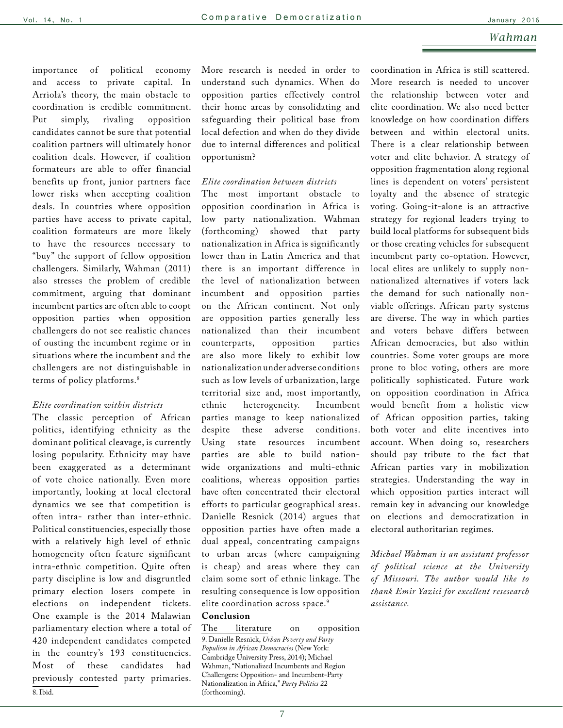#### *Wahman*

importance of political economy and access to private capital. In Arriola's theory, the main obstacle to coordination is credible commitment. Put simply, rivaling opposition candidates cannot be sure that potential coalition partners will ultimately honor coalition deals. However, if coalition formateurs are able to offer financial benefits up front, junior partners face lower risks when accepting coalition deals. In countries where opposition parties have access to private capital, coalition formateurs are more likely to have the resources necessary to "buy" the support of fellow opposition challengers. Similarly, Wahman (2011) also stresses the problem of credible commitment, arguing that dominant incumbent parties are often able to coopt opposition parties when opposition challengers do not see realistic chances of ousting the incumbent regime or in situations where the incumbent and the challengers are not distinguishable in terms of policy platforms.8

#### *Elite coordination within districts*

The classic perception of African politics, identifying ethnicity as the dominant political cleavage, is currently losing popularity. Ethnicity may have been exaggerated as a determinant of vote choice nationally. Even more importantly, looking at local electoral dynamics we see that competition is often intra- rather than inter-ethnic. Political constituencies, especially those with a relatively high level of ethnic homogeneity often feature significant intra-ethnic competition. Quite often party discipline is low and disgruntled primary election losers compete in elections on independent tickets. One example is the 2014 Malawian parliamentary election where a total of 420 independent candidates competed in the country's 193 constituencies. Most of these candidates had previously contested party primaries. 8. Ibid.

More research is needed in order to understand such dynamics. When do opposition parties effectively control their home areas by consolidating and safeguarding their political base from local defection and when do they divide due to internal differences and political opportunism?

#### *Elite coordination between districts*

The most important obstacle to opposition coordination in Africa is low party nationalization. Wahman (forthcoming) showed that party nationalization in Africa is significantly lower than in Latin America and that there is an important difference in the level of nationalization between incumbent and opposition parties on the African continent. Not only are opposition parties generally less nationalized than their incumbent counterparts, opposition parties are also more likely to exhibit low nationalization under adverse conditions such as low levels of urbanization, large territorial size and, most importantly, ethnic heterogeneity. Incumbent parties manage to keep nationalized despite these adverse conditions. Using state resources incumbent parties are able to build nationwide organizations and multi-ethnic coalitions, whereas opposition parties have often concentrated their electoral efforts to particular geographical areas. Danielle Resnick (2014) argues that opposition parties have often made a dual appeal, concentrating campaigns to urban areas (where campaigning is cheap) and areas where they can claim some sort of ethnic linkage. The resulting consequence is low opposition elite coordination across space.<sup>9</sup>

#### **Conclusion**

The literature on opposition 9. Danielle Resnick, *Urban Poverty and Party Populism in African Democracies* (New York: Cambridge University Press, 2014); Michael Wahman, "Nationalized Incumbents and Region Challengers: Opposition- and Incumbent-Party Nationalization in Africa," *Party Politics* 22 (forthcoming).

coordination in Africa is still scattered. More research is needed to uncover the relationship between voter and elite coordination. We also need better knowledge on how coordination differs between and within electoral units. There is a clear relationship between voter and elite behavior. A strategy of opposition fragmentation along regional lines is dependent on voters' persistent loyalty and the absence of strategic voting. Going-it-alone is an attractive strategy for regional leaders trying to build local platforms for subsequent bids or those creating vehicles for subsequent incumbent party co-optation. However, local elites are unlikely to supply nonnationalized alternatives if voters lack the demand for such nationally nonviable offerings. African party systems are diverse. The way in which parties and voters behave differs between African democracies, but also within countries. Some voter groups are more prone to bloc voting, others are more politically sophisticated. Future work on opposition coordination in Africa would benefit from a holistic view of African opposition parties, taking both voter and elite incentives into account. When doing so, researchers should pay tribute to the fact that African parties vary in mobilization strategies. Understanding the way in which opposition parties interact will remain key in advancing our knowledge on elections and democratization in electoral authoritarian regimes.

*Michael Wahman is an assistant professor of political science at the University of Missouri. The author would like to thank Emir Yazici for excellent resesearch assistance.*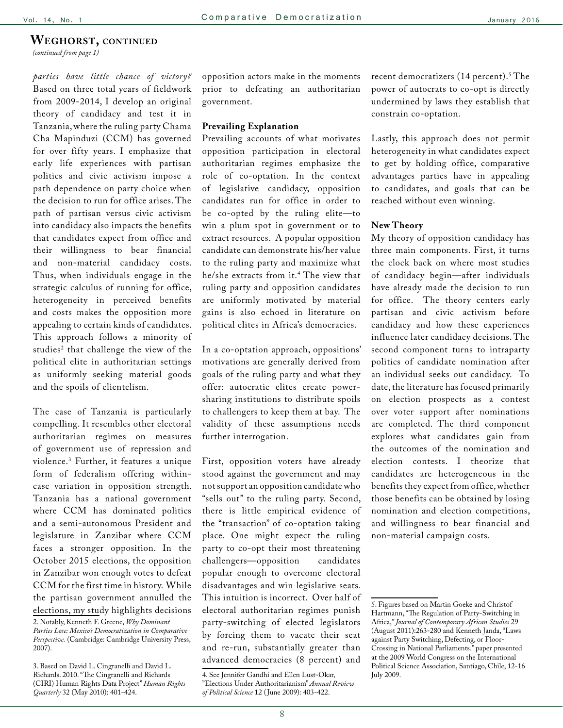#### <span id="page-7-0"></span>**Weghorst, continued**

*[\(continued from page 1\)](#page-0-0)*

*parties have little chance of victory?* Based on three total years of fieldwork from 2009-2014, I develop an original theory of candidacy and test it in Tanzania, where the ruling party Chama Cha Mapinduzi (CCM) has governed for over fifty years. I emphasize that early life experiences with partisan politics and civic activism impose a path dependence on party choice when the decision to run for office arises. The path of partisan versus civic activism into candidacy also impacts the benefits that candidates expect from office and their willingness to bear financial and non-material candidacy costs. Thus, when individuals engage in the strategic calculus of running for office, heterogeneity in perceived benefits and costs makes the opposition more appealing to certain kinds of candidates. This approach follows a minority of studies<sup>2</sup> that challenge the view of the political elite in authoritarian settings as uniformly seeking material goods and the spoils of clientelism.

The case of Tanzania is particularly compelling. It resembles other electoral authoritarian regimes on measures of government use of repression and violence.3 Further, it features a unique form of federalism offering withincase variation in opposition strength. Tanzania has a national government where CCM has dominated politics and a semi-autonomous President and legislature in Zanzibar where CCM faces a stronger opposition. In the October 2015 elections, the opposition in Zanzibar won enough votes to defeat CCM for the first time in history. While the partisan government annulled the elections, my study highlights decisions

2. Notably, Kenneth F. Greene, *Why Dominant Parties Lose: Mexico's Democratization in Comparative Perspective.* (Cambridge: Cambridge University Press, 2007).

3. Based on David L. Cingranelli and David L. Richards. 2010. "The Cingranelli and Richards (CIRI) Human Rights Data Project" *Human Rights Quarterly* 32 (May 2010): 401-424.

opposition actors make in the moments prior to defeating an authoritarian government.

#### **Prevailing Explanation**

Prevailing accounts of what motivates opposition participation in electoral authoritarian regimes emphasize the role of co-optation. In the context of legislative candidacy, opposition candidates run for office in order to be co-opted by the ruling elite—to win a plum spot in government or to extract resources. A popular opposition candidate can demonstrate his/her value to the ruling party and maximize what he/she extracts from it.4 The view that ruling party and opposition candidates are uniformly motivated by material gains is also echoed in literature on political elites in Africa's democracies.

In a co-optation approach, oppositions' motivations are generally derived from goals of the ruling party and what they offer: autocratic elites create powersharing institutions to distribute spoils to challengers to keep them at bay. The validity of these assumptions needs further interrogation.

First, opposition voters have already stood against the government and may not support an opposition candidate who "sells out" to the ruling party. Second, there is little empirical evidence of the "transaction" of co-optation taking place. One might expect the ruling party to co-opt their most threatening challengers—opposition candidates popular enough to overcome electoral disadvantages and win legislative seats. This intuition is incorrect. Over half of electoral authoritarian regimes punish party-switching of elected legislators by forcing them to vacate their seat and re-run, substantially greater than advanced democracies (8 percent) and

recent democratizers (14 percent).<sup>5</sup> The power of autocrats to co-opt is directly undermined by laws they establish that constrain co-optation.

Lastly, this approach does not permit heterogeneity in what candidates expect to get by holding office, comparative advantages parties have in appealing to candidates, and goals that can be reached without even winning.

#### **New Theory**

My theory of opposition candidacy has three main components. First, it turns the clock back on where most studies of candidacy begin—after individuals have already made the decision to run for office. The theory centers early partisan and civic activism before candidacy and how these experiences influence later candidacy decisions. The second component turns to intraparty politics of candidate nomination after an individual seeks out candidacy. To date, the literature has focused primarily on election prospects as a contest over voter support after nominations are completed. The third component explores what candidates gain from the outcomes of the nomination and election contests. I theorize that candidates are heterogeneous in the benefits they expect from office, whether those benefits can be obtained by losing nomination and election competitions, and willingness to bear financial and non-material campaign costs.

<sup>4.</sup> See Jennifer Gandhi and Ellen Lust-Okar, "Elections Under Authoritarianism" *Annual Review of Political Science* 12 ( June 2009): 403-422.

<sup>5.</sup> Figures based on Martin Goeke and Christof Hartmann, "The Regulation of Party-Switching in Africa," *Journal of Contemporary African Studies* 29 (August 2011):263-280 and Kenneth Janda, "Laws against Party Switching, Defecting, or Floor-Crossing in National Parliaments." paper presented at the 2009 World Congress on the International Political Science Association, Santiago, Chile, 12-16 July 2009.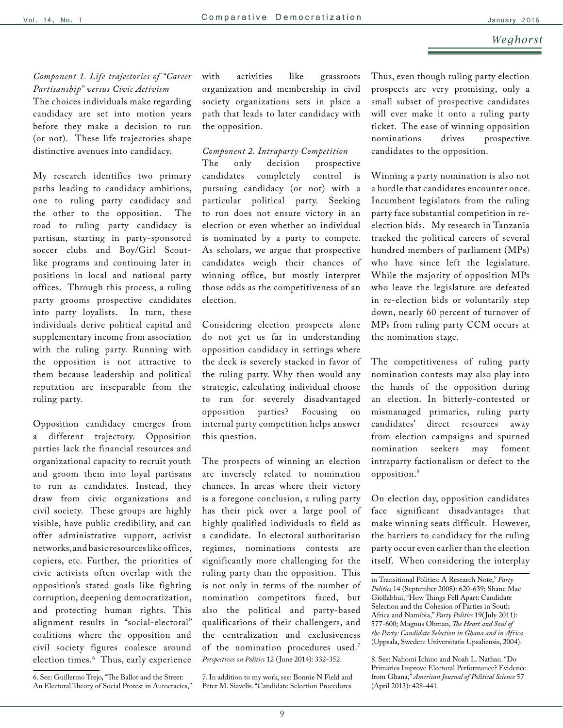### *Weghorst*

### *Component 1. Life trajectories of "Career Partisanship" versus Civic Activism*

The choices individuals make regarding candidacy are set into motion years before they make a decision to run (or not). These life trajectories shape distinctive avenues into candidacy.

My research identifies two primary paths leading to candidacy ambitions, one to ruling party candidacy and the other to the opposition. The road to ruling party candidacy is partisan, starting in party-sponsored soccer clubs and Boy/Girl Scoutlike programs and continuing later in positions in local and national party offices. Through this process, a ruling party grooms prospective candidates into party loyalists. In turn, these individuals derive political capital and supplementary income from association with the ruling party. Running with the opposition is not attractive to them because leadership and political reputation are inseparable from the ruling party.

Opposition candidacy emerges from a different trajectory. Opposition parties lack the financial resources and organizational capacity to recruit youth and groom them into loyal partisans to run as candidates. Instead, they draw from civic organizations and civil society. These groups are highly visible, have public credibility, and can offer administrative support, activist networks, and basic resources like offices, copiers, etc. Further, the priorities of civic activists often overlap with the opposition's stated goals like fighting corruption, deepening democratization, and protecting human rights. This alignment results in "social-electoral" coalitions where the opposition and civil society figures coalesce around election times.6 Thus, early experience with activities like grassroots organization and membership in civil society organizations sets in place a path that leads to later candidacy with the opposition.

#### *Component 2. Intraparty Competition*

The only decision prospective candidates completely control is pursuing candidacy (or not) with a particular political party. Seeking to run does not ensure victory in an election or even whether an individual is nominated by a party to compete. As scholars, we argue that prospective candidates weigh their chances of winning office, but mostly interpret those odds as the competitiveness of an election.

Considering election prospects alone do not get us far in understanding opposition candidacy in settings where the deck is severely stacked in favor of the ruling party. Why then would any strategic, calculating individual choose to run for severely disadvantaged opposition parties? Focusing on internal party competition helps answer this question.

The prospects of winning an election are inversely related to nomination chances. In areas where their victory is a foregone conclusion, a ruling party has their pick over a large pool of highly qualified individuals to field as a candidate. In electoral authoritarian regimes, nominations contests are significantly more challenging for the ruling party than the opposition. This is not only in terms of the number of nomination competitors faced, but also the political and party-based qualifications of their challengers, and the centralization and exclusiveness of the nomination procedures used.<sup>7</sup> *Perspectives on Politics* 12 ( June 2014): 332-352.

7. In addition to my work, see: Bonnie N Field and Peter M. Siavelis. "Candidate Selection Procedures

Thus, even though ruling party election prospects are very promising, only a small subset of prospective candidates will ever make it onto a ruling party ticket. The ease of winning opposition nominations drives prospective candidates to the opposition.

Winning a party nomination is also not a hurdle that candidates encounter once. Incumbent legislators from the ruling party face substantial competition in reelection bids. My research in Tanzania tracked the political careers of several hundred members of parliament (MPs) who have since left the legislature. While the majority of opposition MPs who leave the legislature are defeated in re-election bids or voluntarily step down, nearly 60 percent of turnover of MPs from ruling party CCM occurs at the nomination stage.

The competitiveness of ruling party nomination contests may also play into the hands of the opposition during an election. In bitterly-contested or mismanaged primaries, ruling party candidates' direct resources away from election campaigns and spurned nomination seekers may foment intraparty factionalism or defect to the opposition.8

On election day, opposition candidates face significant disadvantages that make winning seats difficult. However, the barriers to candidacy for the ruling party occur even earlier than the election itself. When considering the interplay

8. See: Nahomi Ichino and Noah L. Nathan. "Do Primaries Improve Electoral Performance? Evidence from Ghana," *American Journal of Political Science* 57 (April 2013): 428-441.

<sup>6.</sup> See: Guillermo Trejo, "The Ballot and the Street: An Electoral Theory of Social Protest in Autocracies,"

in Transitional Polities: A Research Note," *Party Politics* 14 (September 2008): 620-639; Shane Mac Giollabhui, "How Things Fell Apart: Candidate Selection and the Cohesion of Parties in South Africa and Namibia," *Party Politics* 19( July 2011): 577-600; Magnus Ohman, *The Heart and Soul of the Party: Candidate Selection in Ghana and in Africa* (Uppsala, Sweden: Universitatis Upsaliensis, 2004).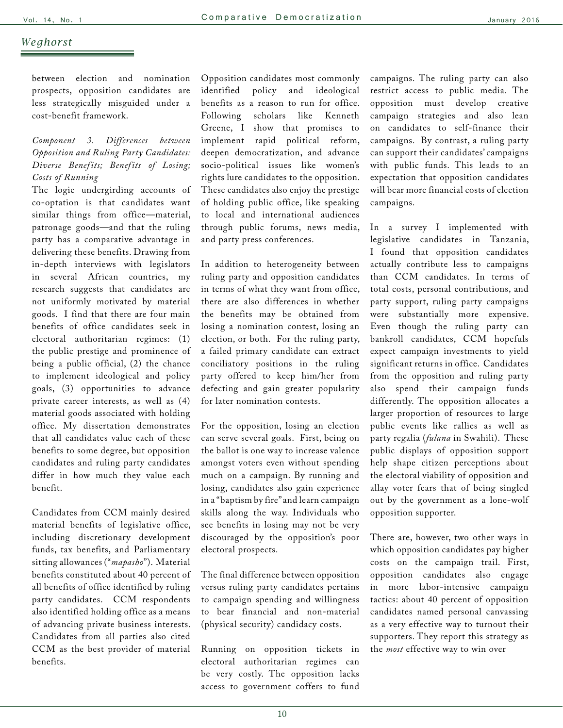### *Weghorst*

between election and nomination prospects, opposition candidates are less strategically misguided under a cost-benefit framework.

### *Component 3. Differences between Opposition and Ruling Party Candidates: Diverse Benef its; Benef its of Losing; Costs of Running*

The logic undergirding accounts of co-optation is that candidates want similar things from office—material, patronage goods—and that the ruling party has a comparative advantage in delivering these benefits. Drawing from in-depth interviews with legislators in several African countries, my research suggests that candidates are not uniformly motivated by material goods. I find that there are four main benefits of office candidates seek in electoral authoritarian regimes: (1) the public prestige and prominence of being a public official, (2) the chance to implement ideological and policy goals, (3) opportunities to advance private career interests, as well as (4) material goods associated with holding office. My dissertation demonstrates that all candidates value each of these benefits to some degree, but opposition candidates and ruling party candidates differ in how much they value each benefit.

Candidates from CCM mainly desired material benefits of legislative office, including discretionary development funds, tax benefits, and Parliamentary sitting allowances ("*mapasho*"). Material benefits constituted about 40 percent of all benefits of office identified by ruling party candidates. CCM respondents also identified holding office as a means of advancing private business interests. Candidates from all parties also cited CCM as the best provider of material benefits.

Opposition candidates most commonly identified policy and ideological benefits as a reason to run for office. Following scholars like Kenneth Greene, I show that promises to implement rapid political reform, deepen democratization, and advance socio-political issues like women's rights lure candidates to the opposition. These candidates also enjoy the prestige of holding public office, like speaking to local and international audiences through public forums, news media, and party press conferences.

In addition to heterogeneity between ruling party and opposition candidates in terms of what they want from office, there are also differences in whether the benefits may be obtained from losing a nomination contest, losing an election, or both. For the ruling party, a failed primary candidate can extract conciliatory positions in the ruling party offered to keep him/her from defecting and gain greater popularity for later nomination contests.

For the opposition, losing an election can serve several goals. First, being on the ballot is one way to increase valence amongst voters even without spending much on a campaign. By running and losing, candidates also gain experience in a "baptism by fire" and learn campaign skills along the way. Individuals who see benefits in losing may not be very discouraged by the opposition's poor electoral prospects.

The final difference between opposition versus ruling party candidates pertains to campaign spending and willingness to bear financial and non-material (physical security) candidacy costs.

Running on opposition tickets in electoral authoritarian regimes can be very costly. The opposition lacks access to government coffers to fund campaigns. The ruling party can also restrict access to public media. The opposition must develop creative campaign strategies and also lean on candidates to self-finance their campaigns. By contrast, a ruling party can support their candidates' campaigns with public funds. This leads to an expectation that opposition candidates will bear more financial costs of election campaigns.

In a survey I implemented with legislative candidates in Tanzania, I found that opposition candidates actually contribute less to campaigns than CCM candidates. In terms of total costs, personal contributions, and party support, ruling party campaigns were substantially more expensive. Even though the ruling party can bankroll candidates, CCM hopefuls expect campaign investments to yield significant returns in office. Candidates from the opposition and ruling party also spend their campaign funds differently. The opposition allocates a larger proportion of resources to large public events like rallies as well as party regalia (*fulana* in Swahili). These public displays of opposition support help shape citizen perceptions about the electoral viability of opposition and allay voter fears that of being singled out by the government as a lone-wolf opposition supporter.

There are, however, two other ways in which opposition candidates pay higher costs on the campaign trail. First, opposition candidates also engage in more labor-intensive campaign tactics: about 40 percent of opposition candidates named personal canvassing as a very effective way to turnout their supporters. They report this strategy as the *most* effective way to win over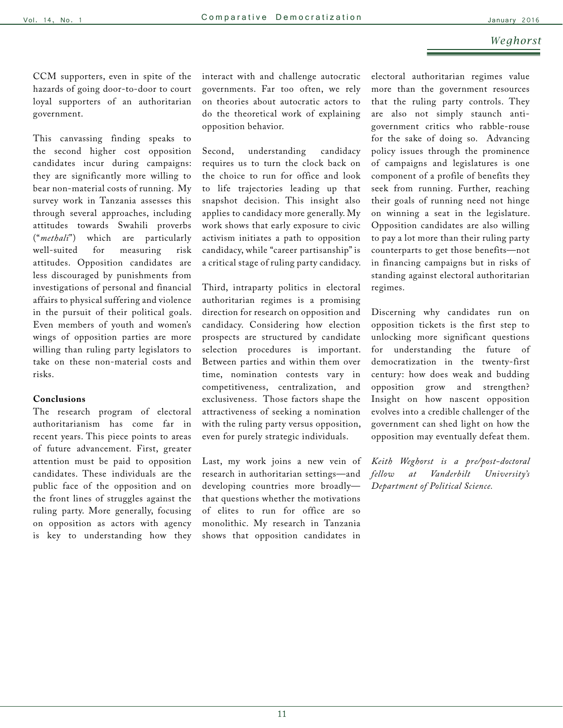### *Weghorst*

CCM supporters, even in spite of the hazards of going door-to-door to court loyal supporters of an authoritarian government.

This canvassing finding speaks to the second higher cost opposition candidates incur during campaigns: they are significantly more willing to bear non-material costs of running. My survey work in Tanzania assesses this through several approaches, including attitudes towards Swahili proverbs ("*methali*") which are particularly well-suited for measuring risk attitudes. Opposition candidates are less discouraged by punishments from investigations of personal and financial affairs to physical suffering and violence in the pursuit of their political goals. Even members of youth and women's wings of opposition parties are more willing than ruling party legislators to take on these non-material costs and risks.

#### **Conclusions**

The research program of electoral authoritarianism has come far in recent years. This piece points to areas of future advancement. First, greater attention must be paid to opposition candidates. These individuals are the public face of the opposition and on the front lines of struggles against the ruling party. More generally, focusing on opposition as actors with agency is key to understanding how they interact with and challenge autocratic governments. Far too often, we rely on theories about autocratic actors to do the theoretical work of explaining opposition behavior.

Second, understanding candidacy requires us to turn the clock back on the choice to run for office and look to life trajectories leading up that snapshot decision. This insight also applies to candidacy more generally. My work shows that early exposure to civic activism initiates a path to opposition candidacy, while "career partisanship" is a critical stage of ruling party candidacy.

Third, intraparty politics in electoral authoritarian regimes is a promising direction for research on opposition and candidacy. Considering how election prospects are structured by candidate selection procedures is important. Between parties and within them over time, nomination contests vary in competitiveness, centralization, and exclusiveness. Those factors shape the attractiveness of seeking a nomination with the ruling party versus opposition, even for purely strategic individuals.

Last, my work joins a new vein of research in authoritarian settings—and developing countries more broadly that questions whether the motivations of elites to run for office are so monolithic. My research in Tanzania shows that opposition candidates in electoral authoritarian regimes value more than the government resources that the ruling party controls. They are also not simply staunch antigovernment critics who rabble-rouse for the sake of doing so. Advancing policy issues through the prominence of campaigns and legislatures is one component of a profile of benefits they seek from running. Further, reaching their goals of running need not hinge on winning a seat in the legislature. Opposition candidates are also willing to pay a lot more than their ruling party counterparts to get those benefits—not in financing campaigns but in risks of standing against electoral authoritarian regimes.

Discerning why candidates run on opposition tickets is the first step to unlocking more significant questions for understanding the future of democratization in the twenty-first century: how does weak and budding opposition grow and strengthen? Insight on how nascent opposition evolves into a credible challenger of the government can shed light on how the opposition may eventually defeat them.

*Keith Weghorst is a pre/post-doctoral fellow at Vanderbilt University's Department of Political Science.*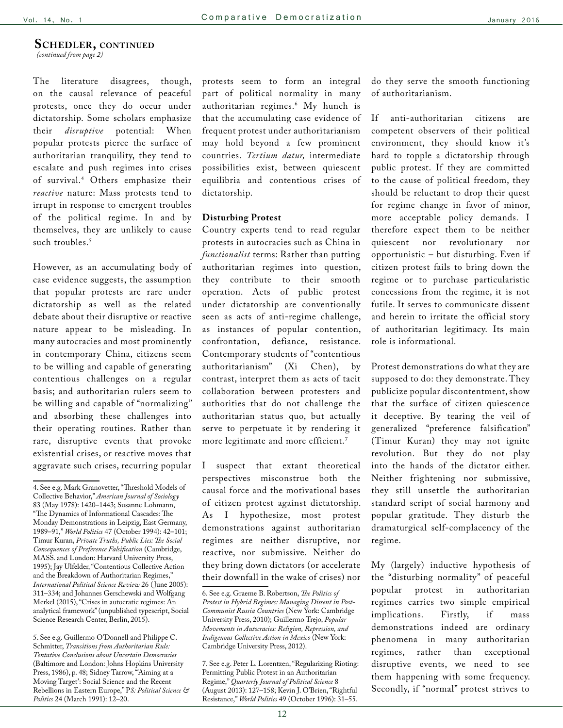#### <span id="page-11-0"></span>**Schedler, continued**

*[\(continued from page 2\)](#page-1-0)*

The literature disagrees, though, on the causal relevance of peaceful protests, once they do occur under dictatorship. Some scholars emphasize their *disruptive* potential: When popular protests pierce the surface of authoritarian tranquility, they tend to escalate and push regimes into crises of survival.4 Others emphasize their *reactive* nature: Mass protests tend to irrupt in response to emergent troubles of the political regime. In and by themselves, they are unlikely to cause such troubles.<sup>5</sup>

However, as an accumulating body of case evidence suggests, the assumption that popular protests are rare under dictatorship as well as the related debate about their disruptive or reactive nature appear to be misleading. In many autocracies and most prominently in contemporary China, citizens seem to be willing and capable of generating contentious challenges on a regular basis; and authoritarian rulers seem to be willing and capable of "normalizing" and absorbing these challenges into their operating routines. Rather than rare, disruptive events that provoke existential crises, or reactive moves that aggravate such crises, recurring popular

5. See e.g. Guillermo O'Donnell and Philippe C. Schmitter, *Transitions from Authoritarian Rule: Tentative Conclusions about Uncertain Democracies* (Baltimore and London: Johns Hopkins University Press, 1986), p. 48; Sidney Tarrow, "Aiming at a Moving Target': Social Science and the Recent Rebellions in Eastern Europe," P*S: Political Science & Politics* 24 (March 1991): 12–20.

protests seem to form an integral part of political normality in many authoritarian regimes.6 My hunch is that the accumulating case evidence of frequent protest under authoritarianism may hold beyond a few prominent countries. *Tertium datur,* intermediate possibilities exist, between quiescent equilibria and contentious crises of dictatorship.

#### **Disturbing Protest**

Country experts tend to read regular protests in autocracies such as China in *functionalist* terms: Rather than putting authoritarian regimes into question, they contribute to their smooth operation. Acts of public protest under dictatorship are conventionally seen as acts of anti-regime challenge, as instances of popular contention, confrontation, defiance, resistance. Contemporary students of "contentious authoritarianism" (Xi Chen), by contrast, interpret them as acts of tacit collaboration between protesters and authorities that do not challenge the authoritarian status quo, but actually serve to perpetuate it by rendering it more legitimate and more efficient.<sup>7</sup>

I suspect that extant theoretical perspectives misconstrue both the causal force and the motivational bases of citizen protest against dictatorship. As I hypothesize, most protest demonstrations against authoritarian regimes are neither disruptive, nor reactive, nor submissive. Neither do they bring down dictators (or accelerate their downfall in the wake of crises) nor

7. See e.g. Peter L. Lorentzen, "Regularizing Rioting: Permitting Public Protest in an Authoritarian Regime," *Quarterly Journal of Political Science* 8 (August 2013): 127–158; Kevin J. O'Brien, "Rightful Resistance," *World Politics* 49 (October 1996): 31–55.

do they serve the smooth functioning of authoritarianism.

If anti-authoritarian citizens are competent observers of their political environment, they should know it's hard to topple a dictatorship through public protest. If they are committed to the cause of political freedom, they should be reluctant to drop their quest for regime change in favor of minor, more acceptable policy demands. I therefore expect them to be neither quiescent nor revolutionary nor opportunistic – but disturbing. Even if citizen protest fails to bring down the regime or to purchase particularistic concessions from the regime, it is not futile. It serves to communicate dissent and herein to irritate the official story of authoritarian legitimacy. Its main role is informational.

Protest demonstrations do what they are supposed to do: they demonstrate. They publicize popular discontentment, show that the surface of citizen quiescence it deceptive. By tearing the veil of generalized "preference falsification" (Timur Kuran) they may not ignite revolution. But they do not play into the hands of the dictator either. Neither frightening nor submissive, they still unsettle the authoritarian standard script of social harmony and popular gratitude. They disturb the dramaturgical self-complacency of the regime.

My (largely) inductive hypothesis of the "disturbing normality" of peaceful popular protest in authoritarian regimes carries two simple empirical implications. Firstly, if mass demonstrations indeed are ordinary phenomena in many authoritarian regimes, rather than exceptional disruptive events, we need to see them happening with some frequency. Secondly, if "normal" protest strives to

<sup>4.</sup> See e.g. Mark Granovetter, "Threshold Models of Collective Behavior," *American Journal of Sociology* 83 (May 1978): 1420–1443; Susanne Lohmann, "The Dynamics of Informational Cascades: The Monday Demonstrations in Leipzig, East Germany, 1989–91," *World Politics* 47 (October 1994): 42–101; Timur Kuran, *Private Truths, Public Lies: The Social Consequences of Preference Falsification* (Cambridge, MASS. and London: Harvard University Press, 1995); Jay Ulfelder, "Contentious Collective Action and the Breakdown of Authoritarian Regimes," *International Political Science Review* 26 ( June 2005): 311–334; and Johannes Gerschewski and Wolfgang Merkel (2015), "Crises in autocratic regimes: An analytical framework" (unpublished typescript, Social Science Research Center, Berlin, 2015).

<sup>6.</sup> See e.g. Graeme B. Robertson, *The Politics of Protest in Hybrid Regimes: Managing Dissent in Post-Communist Russia Countries* (New York: Cambridge University Press, 2010); Guillermo Trejo, *Popular Movements in Autocracies: Religion, Repression, and Indigenous Collective Action in Mexico* (New York: Cambridge University Press, 2012).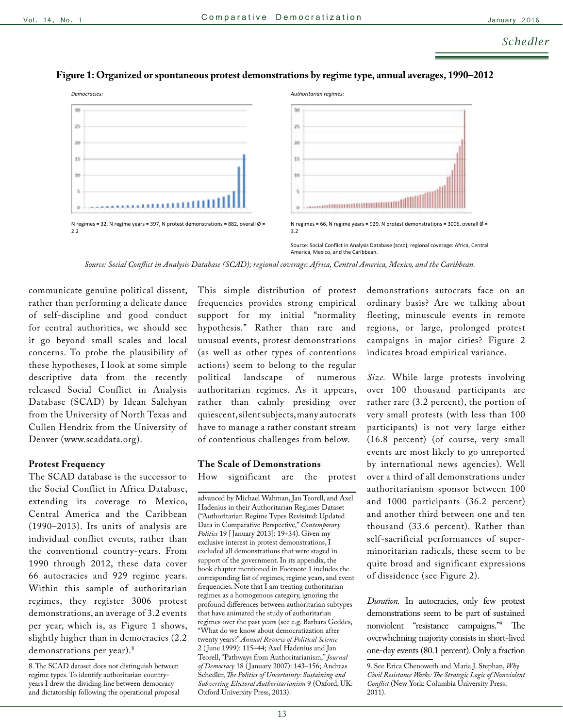

### **Figure 1: Organized or spontaneous protest demonstrations by regime type, annual averages, 1990–2012**

*Source: Social Conflict in Analysis Database (SCAD); regional coverage: Africa, Central America, Mexico, and the Caribbean.*

communicate genuine political dissent, rather than performing a delicate dance of self-discipline and good conduct for central authorities, we should see it go beyond small scales and local concerns. To probe the plausibility of these hypotheses, I look at some simple descriptive data from the recently released Social Conflict in Analysis Database (SCAD) by Idean Salehyan from the University of North Texas and Cullen Hendrix from the University of Denver (www.scaddata.org).

#### **Protest Frequency**

The SCAD database is the successor to the Social Conflict in Africa Database, extending its coverage to Mexico, Central America and the Caribbean (1990–2013). Its units of analysis are individual conflict events, rather than the conventional country-years. From 1990 through 2012, these data cover 66 autocracies and 929 regime years. Within this sample of authoritarian regimes, they register 3006 protest demonstrations, an average of 3.2 events per year, which is, as Figure 1 shows, slightly higher than in democracies (2.2 demonstrations per year).<sup>8</sup>

This simple distribution of protest frequencies provides strong empirical support for my initial "normality hypothesis." Rather than rare and unusual events, protest demonstrations (as well as other types of contentions actions) seem to belong to the regular political landscape of numerous authoritarian regimes. As it appears, rather than calmly presiding over quiescent, silent subjects, many autocrats have to manage a rather constant stream of contentious challenges from below.

### **The Scale of Demonstrations**

How significant are the protest

advanced by Michael Wahman, Jan Teorell, and Axel Hadenius in their Authoritarian Regimes Dataset ("Authoritarian Regime Types Revisited: Updated Data in Comparative Perspective," *Contemporary Politics* 19 [ January 2013]: 19–34). Given my exclusive interest in protest demonstrations, I excluded all demonstrations that were staged in support of the government. In its appendix, the book chapter mentioned in Footnote 1 includes the corresponding list of regimes, regime years, and event frequencies. Note that I am treating authoritarian regimes as a homogenous category, ignoring the profound differences between authoritarian subtypes that have animated the study of authoritarian regimes over the past years (see e.g. Barbara Geddes, "What do we know about democratization after twenty years?" *Annual Review of Political Science* 2 ( June 1999): 115–44; Axel Hadenius and Jan Teorell, "Pathways from Authoritarianism," *Journal of Democracy* 18 ( January 2007): 143–156; Andreas Schedler, *The Politics of Uncertainty: Sustaining and Subverting Electoral Authoritarianism* 9 (Oxford, UK: Oxford University Press, 2013).

demonstrations autocrats face on an ordinary basis? Are we talking about fleeting, minuscule events in remote regions, or large, prolonged protest campaigns in major cities? Figure 2 indicates broad empirical variance.

*Size.* While large protests involving over 100 thousand participants are rather rare (3.2 percent), the portion of very small protests (with less than 100 participants) is not very large either (16.8 percent) (of course, very small events are most likely to go unreported by international news agencies). Well over a third of all demonstrations under authoritarianism sponsor between 100 and 1000 participants (36.2 percent) and another third between one and ten thousand (33.6 percent). Rather than self-sacrificial performances of superminoritarian radicals, these seem to be quite broad and significant expressions of dissidence (see Figure 2).

*Duration.* In autocracies, only few protest demonstrations seem to be part of sustained nonviolent "resistance campaigns."9 The overwhelming majority consists in short-lived one-day events (80.1 percent). Only a fraction

<sup>8.</sup> The SCAD dataset does not distinguish between regime types. To identify authoritarian countryyears I drew the dividing line between democracy and dictatorship following the operational proposal

<sup>9.</sup> See Erica Chenoweth and Maria J. Stephan, *Why Civil Resistance Works: The Strategic Logic of Nonviolent Conflict* (New York: Columbia University Press, 2011).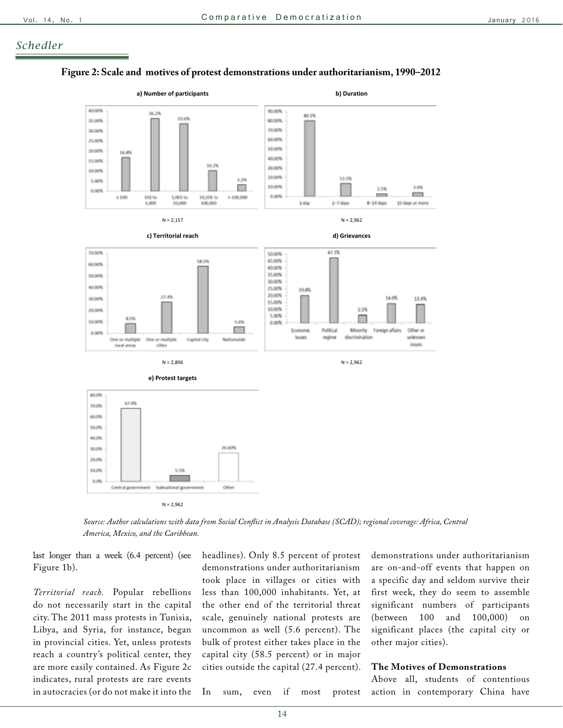### *Schedler*

#### **Figure 2: Scale and motives of protest demonstrations under authoritarianism, 1990–2012**



*Source: Author calculations with data from Social Conflict in Analysis Database (SCAD); regional coverage: Africa, Central America, Mexico, and the Caribbean.*

last longer than a week (6.4 percent) (see Figure 1b).

*Territorial reach.* Popular rebellions do not necessarily start in the capital city. The 2011 mass protests in Tunisia, Libya, and Syria, for instance, began in provincial cities. Yet, unless protests reach a country's political center, they are more easily contained. As Figure 2c indicates, rural protests are rare events in autocracies (or do not make it into the headlines). Only 8.5 percent of protest demonstrations under authoritarianism took place in villages or cities with less than 100,000 inhabitants. Yet, at the other end of the territorial threat scale, genuinely national protests are uncommon as well (5.6 percent). The bulk of protest either takes place in the capital city (58.5 percent) or in major cities outside the capital (27.4 percent). demonstrations under authoritarianism are on-and-off events that happen on a specific day and seldom survive their first week, they do seem to assemble significant numbers of participants (between 100 and 100,000) on significant places (the capital city or other major cities).

#### **The Motives of Demonstrations**

Above all, students of contentious action in contemporary China have

In sum, even if most protest

14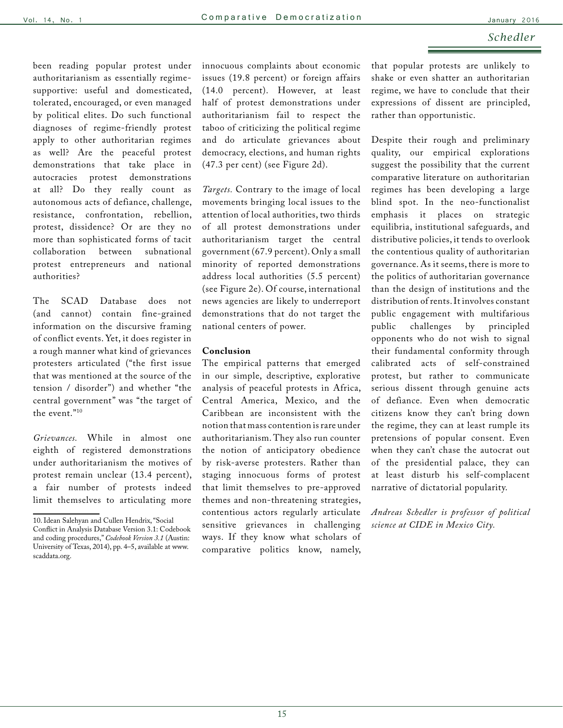#### *Schedler*

been reading popular protest under authoritarianism as essentially regimesupportive: useful and domesticated, tolerated, encouraged, or even managed by political elites. Do such functional diagnoses of regime-friendly protest apply to other authoritarian regimes as well? Are the peaceful protest demonstrations that take place in autocracies protest demonstrations at all? Do they really count as autonomous acts of defiance, challenge, resistance, confrontation, rebellion, protest, dissidence? Or are they no more than sophisticated forms of tacit collaboration between subnational protest entrepreneurs and national authorities?

The SCAD Database does not (and cannot) contain fine-grained information on the discursive framing of conflict events. Yet, it does register in a rough manner what kind of grievances protesters articulated ("the first issue that was mentioned at the source of the tension / disorder") and whether "the central government" was "the target of the event."10

*Grievances.* While in almost one eighth of registered demonstrations under authoritarianism the motives of protest remain unclear (13.4 percent), a fair number of protests indeed limit themselves to articulating more

innocuous complaints about economic issues (19.8 percent) or foreign affairs (14.0 percent). However, at least half of protest demonstrations under authoritarianism fail to respect the taboo of criticizing the political regime and do articulate grievances about democracy, elections, and human rights (47.3 per cent) (see Figure 2d).

*Targets.* Contrary to the image of local movements bringing local issues to the attention of local authorities, two thirds of all protest demonstrations under authoritarianism target the central government (67.9 percent). Only a small minority of reported demonstrations address local authorities (5.5 percent) (see Figure 2e). Of course, international news agencies are likely to underreport demonstrations that do not target the national centers of power.

#### **Conclusion**

The empirical patterns that emerged in our simple, descriptive, explorative analysis of peaceful protests in Africa, Central America, Mexico, and the Caribbean are inconsistent with the notion that mass contention is rare under authoritarianism. They also run counter the notion of anticipatory obedience by risk-averse protesters. Rather than staging innocuous forms of protest that limit themselves to pre-approved themes and non-threatening strategies, contentious actors regularly articulate sensitive grievances in challenging ways. If they know what scholars of comparative politics know, namely, that popular protests are unlikely to shake or even shatter an authoritarian regime, we have to conclude that their expressions of dissent are principled, rather than opportunistic.

Despite their rough and preliminary quality, our empirical explorations suggest the possibility that the current comparative literature on authoritarian regimes has been developing a large blind spot. In the neo-functionalist emphasis it places on strategic equilibria, institutional safeguards, and distributive policies, it tends to overlook the contentious quality of authoritarian governance. As it seems, there is more to the politics of authoritarian governance than the design of institutions and the distribution of rents. It involves constant public engagement with multifarious public challenges by principled opponents who do not wish to signal their fundamental conformity through calibrated acts of self-constrained protest, but rather to communicate serious dissent through genuine acts of defiance. Even when democratic citizens know they can't bring down the regime, they can at least rumple its pretensions of popular consent. Even when they can't chase the autocrat out of the presidential palace, they can at least disturb his self-complacent narrative of dictatorial popularity.

*Andreas Schedler is professor of political science at CIDE in Mexico City.*

<sup>10.</sup> Idean Salehyan and Cullen Hendrix, "Social Conflict in Analysis Database Version 3.1: Codebook and coding procedures," *Codebook Version 3.1* (Austin: University of Texas, 2014), pp. 4–5, available at www. scaddata.org.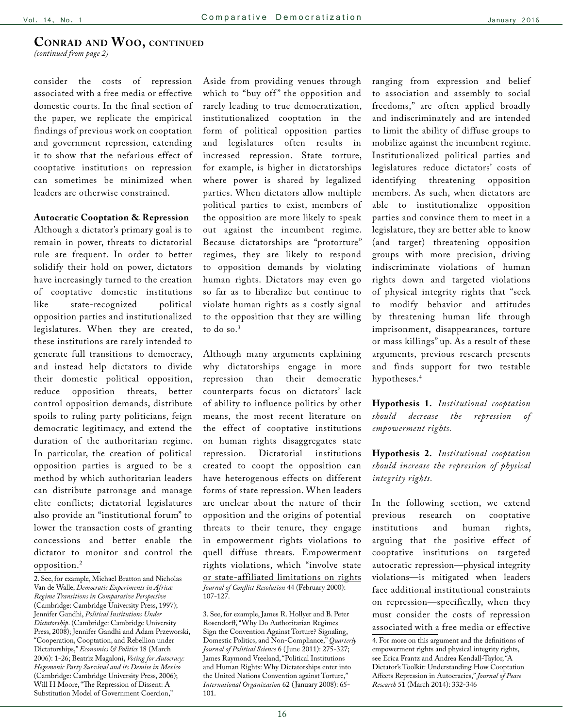### <span id="page-15-0"></span>**Conrad and Woo, continued**

*[\(continued from page 2\)](#page-1-0)*

consider the costs of repression associated with a free media or effective domestic courts. In the final section of the paper, we replicate the empirical findings of previous work on cooptation and government repression, extending it to show that the nefarious effect of cooptative institutions on repression can sometimes be minimized when leaders are otherwise constrained.

#### **Autocratic Cooptation & Repression**

Although a dictator's primary goal is to remain in power, threats to dictatorial rule are frequent. In order to better solidify their hold on power, dictators have increasingly turned to the creation of cooptative domestic institutions like state-recognized political opposition parties and institutionalized legislatures. When they are created, these institutions are rarely intended to generate full transitions to democracy, and instead help dictators to divide their domestic political opposition, reduce opposition threats, better control opposition demands, distribute spoils to ruling party politicians, feign democratic legitimacy, and extend the duration of the authoritarian regime. In particular, the creation of political opposition parties is argued to be a method by which authoritarian leaders can distribute patronage and manage elite conflicts; dictatorial legislatures also provide an "institutional forum" to lower the transaction costs of granting concessions and better enable the dictator to monitor and control the opposition.2

Aside from providing venues through which to "buy off" the opposition and rarely leading to true democratization, institutionalized cooptation in the form of political opposition parties and legislatures often results in increased repression. State torture, for example, is higher in dictatorships where power is shared by legalized parties. When dictators allow multiple political parties to exist, members of the opposition are more likely to speak out against the incumbent regime. Because dictatorships are "protorture" regimes, they are likely to respond to opposition demands by violating human rights. Dictators may even go so far as to liberalize but continue to violate human rights as a costly signal to the opposition that they are willing to do so.3

Although many arguments explaining why dictatorships engage in more repression than their democratic counterparts focus on dictators' lack of ability to influence politics by other means, the most recent literature on the effect of cooptative institutions on human rights disaggregates state repression. Dictatorial institutions created to coopt the opposition can have heterogenous effects on different forms of state repression. When leaders are unclear about the nature of their opposition and the origins of potential threats to their tenure, they engage in empowerment rights violations to quell diffuse threats. Empowerment rights violations, which "involve state or state-affiliated limitations on rights *Journal of Conflict Resolution* 44 (February 2000): 107-127.

3. See, for example, James R. Hollyer and B. Peter Rosendorff, "Why Do Authoritarian Regimes Sign the Convention Against Torture? Signaling, Domestic Politics, and Non-Compliance," *Quarterly Journal of Political Science* 6 ( June 2011): 275-327; James Raymond Vreeland, "Political Institutions and Human Rights: Why Dictatorships enter into the United Nations Convention against Torture," *International Organization* 62 ( January 2008): 65- 101.

ranging from expression and belief to association and assembly to social freedoms," are often applied broadly and indiscriminately and are intended to limit the ability of diffuse groups to mobilize against the incumbent regime. Institutionalized political parties and legislatures reduce dictators' costs of identifying threatening opposition members. As such, when dictators are able to institutionalize opposition parties and convince them to meet in a legislature, they are better able to know (and target) threatening opposition groups with more precision, driving indiscriminate violations of human rights down and targeted violations of physical integrity rights that "seek to modify behavior and attitudes by threatening human life through imprisonment, disappearances, torture or mass killings" up. As a result of these arguments, previous research presents and finds support for two testable hypotheses.4

**Hypothesis 1.** *Institutional cooptation should decrease the repression of empowerment rights.*

**Hypothesis 2.** *Institutional cooptation should increase the repression of physical integrity rights.*

In the following section, we extend previous research on cooptative institutions and human rights, arguing that the positive effect of cooptative institutions on targeted autocratic repression—physical integrity violations—is mitigated when leaders face additional institutional constraints on repression—specifically, when they must consider the costs of repression associated with a free media or effective

<sup>2.</sup> See, for example, Michael Bratton and Nicholas Van de Walle, *Democratic Experiments in Africa: Regime Transitions in Comparative Perspective* (Cambridge: Cambridge University Press, 1997); Jennifer Gandhi, *Political Institutions Under Dictatorship*. (Cambridge: Cambridge University Press, 2008); Jennifer Gandhi and Adam Przeworski, "Cooperation, Cooptation, and Rebellion under Dictatorships," *Economics & Politics* 18 (March 2006): 1-26; Beatriz Magaloni, *Voting for Autocracy: Hegemonic Party Survival and its Demise in Mexico* (Cambridge: Cambridge University Press, 2006); Will H Moore, "The Repression of Dissent: A Substitution Model of Government Coercion,"

<sup>4.</sup> For more on this argument and the definitions of empowerment rights and physical integrity rights, see Erica Frantz and Andrea Kendall-Taylor, "A Dictator's Toolkit: Understanding How Cooptation Affects Repression in Autocracies," *Journal of Peace Research* 51 (March 2014): 332-346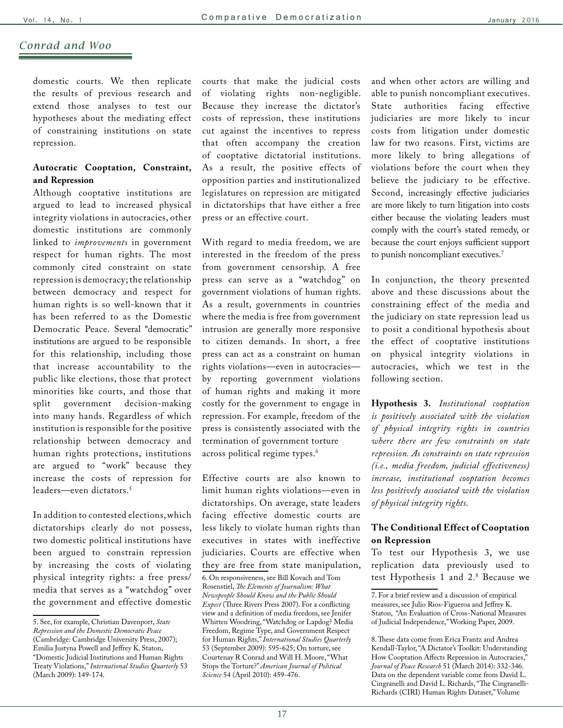### *Conrad and Woo*

domestic courts. We then replicate the results of previous research and extend those analyses to test our hypotheses about the mediating effect of constraining institutions on state repression.

### **Autocratic Cooptation, Constraint, and Repression**

Although cooptative institutions are argued to lead to increased physical integrity violations in autocracies, other domestic institutions are commonly linked to *improvements* in government respect for human rights. The most commonly cited constraint on state repression is democracy; the relationship between democracy and respect for human rights is so well-known that it has been referred to as the Domestic Democratic Peace. Several "democratic" institutions are argued to be responsible for this relationship, including those that increase accountability to the public like elections, those that protect minorities like courts, and those that split government decision-making into many hands. Regardless of which institution is responsible for the positive relationship between democracy and human rights protections, institutions are argued to "work" because they increase the costs of repression for leaders—even dictators.5

In addition to contested elections, which dictatorships clearly do not possess, two domestic political institutions have been argued to constrain repression by increasing the costs of violating physical integrity rights: a free press/ media that serves as a "watchdog" over the government and effective domestic courts that make the judicial costs of violating rights non-negligible. Because they increase the dictator's costs of repression, these institutions cut against the incentives to repress that often accompany the creation of cooptative dictatorial institutions. As a result, the positive effects of opposition parties and institutionalized legislatures on repression are mitigated in dictatorships that have either a free press or an effective court.

With regard to media freedom, we are interested in the freedom of the press from government censorship. A free press can serve as a "watchdog" on government violations of human rights. As a result, governments in countries where the media is free from government intrusion are generally more responsive to citizen demands. In short, a free press can act as a constraint on human rights violations—even in autocracies by reporting government violations of human rights and making it more costly for the government to engage in repression. For example, freedom of the press is consistently associated with the termination of government torture across political regime types.<sup>6</sup>

Effective courts are also known to limit human rights violations—even in dictatorships. On average, state leaders facing effective domestic courts are less likely to violate human rights than executives in states with ineffective judiciaries. Courts are effective when they are free from state manipulation,

and when other actors are willing and able to punish noncompliant executives. State authorities facing effective judiciaries are more likely to incur costs from litigation under domestic law for two reasons. First, victims are more likely to bring allegations of violations before the court when they believe the judiciary to be effective. Second, increasingly effective judiciaries are more likely to turn litigation into costs either because the violating leaders must comply with the court's stated remedy, or because the court enjoys sufficient support to punish noncompliant executives.<sup>7</sup>

In conjunction, the theory presented above and these discussions about the constraining effect of the media and the judiciary on state repression lead us to posit a conditional hypothesis about the effect of cooptative institutions on physical integrity violations in autocracies, which we test in the following section.

**Hypothesis 3.** *Institutional cooptation is positively associated with the violation of physical integrity rights in countries where there are few constraints on state repression. As constraints on state repression (i.e., media freedom, judicial effectiveness) increase, institutional cooptation becomes less positively associated with the violation of physical integrity rights.*

### **The Conditional Effect of Cooptation on Repression**

To test our Hypothesis 3, we use replication data previously used to test Hypothesis 1 and 2.8 Because we

<sup>5.</sup> See, for example, Christian Davenport, *State Repression and the Domestic Democratic Peace* (Cambridge: Cambridge University Press, 2007); Emilia Justyna Powell and Jeffrey K. Staton, "Domestic Judicial Institutions and Human Rights Treaty Violations," *International Studies Quarterly* 53 (March 2009): 149-174.

<sup>6.</sup> On responsiveness, see Bill Kovach and Tom Rosenstiel, *The Elements of Journalism: What Newspeople Should Know and the Public Should Expect* (Three Rivers Press 2007). For a conflicting view and a definition of media freedom, see Jenifer Whitten Woodring, "Watchdog or Lapdog? Media Freedom, Regime Type, and Government Respect for Human Rights," *International Studies Quarterly* 53 (September 2009): 595-625; On torture, see Courtenay R Conrad and Will H. Moore, "What Stops the Torture?" *American Journal of Political Science* 54 (April 2010): 459-476.

<sup>7.</sup> For a brief review and a discussion of empirical measures, see Julio Rios-Figueroa and Jeffrey K. Staton, "An Evaluation of Cross-National Measures of Judicial Independence," Working Paper, 2009.

<sup>8.</sup> These data come from Erica Frantz and Andrea Kendall-Taylor, "A Dictator's Toolkit: Understanding How Cooptation Affects Repression in Autocracies," *Journal of Peace Research* 51 (March 2014): 332-346. Data on the dependent variable come from David L. Cingranelli and David L. Richards, "The Cingranelli-Richards (CIRI) Human Rights Dataset," Volume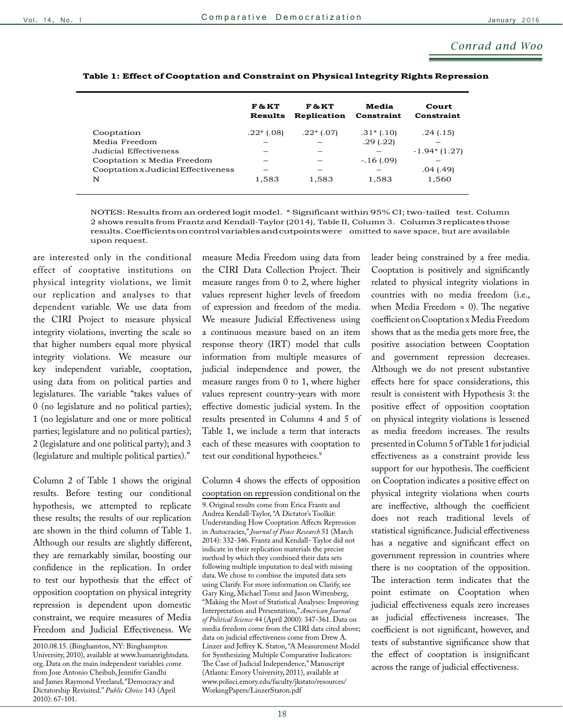### *Conrad and Woo*

|                                     | F & KT<br><b>Results</b> | F&KT<br>Replication | Media<br>Constraint | Court<br>Constraint |
|-------------------------------------|--------------------------|---------------------|---------------------|---------------------|
| Cooptation                          | $.22*(.08)$              | $.22*(.07)$         | $.31*(.10)$         | .24(.15)            |
| Media Freedom                       |                          |                     | .29(.22)            |                     |
| Judicial Effectiveness              |                          |                     |                     | $-1.94*(1.27)$      |
| Cooptation x Media Freedom          |                          |                     | $-.16(.09)$         |                     |
| Cooptation x Judicial Effectiveness |                          |                     |                     | .04(0.49)           |
| N                                   | 1,583                    | 1,583               | 1,583               | 1,560               |

### **Table 1: Effect of Cooptation and Constraint on Physical Integrity Rights Repression**

NOTES: Results from an ordered logit model. \* Significant within 95% CI; two-tailed test. Column 2 shows results from Frantz and Kendall-Taylor (2014), Table II, Column 3. Column3replicatesthose results.Coefficientsoncontrolvariablesandcutpointswere omitted to save space, but are available upon request.

are interested only in the conditional effect of cooptative institutions on physical integrity violations, we limit our replication and analyses to that dependent variable. We use data from the CIRI Project to measure physical integrity violations, inverting the scale so that higher numbers equal more physical integrity violations. We measure our key independent variable, cooptation, using data from on political parties and legislatures. The variable "takes values of 0 (no legislature and no political parties); 1 (no legislature and one or more political parties; legislature and no political parties); 2 (legislature and one political party); and 3 (legislature and multiple political parties)."

Column 2 of Table 1 shows the original results. Before testing our conditional hypothesis, we attempted to replicate these results; the results of our replication are shown in the third column of Table 1. Although our results are slightly different, they are remarkably similar, boosting our confidence in the replication. In order to test our hypothesis that the effect of opposition cooptation on physical integrity repression is dependent upon domestic constraint, we require measures of Media Freedom and Judicial Effectiveness. We

measure Media Freedom using data from the CIRI Data Collection Project. Their measure ranges from 0 to 2, where higher values represent higher levels of freedom of expression and freedom of the media. We measure Judicial Effectiveness using a continuous measure based on an item response theory (IRT) model that culls information from multiple measures of judicial independence and power, the measure ranges from 0 to 1, where higher values represent country-years with more effective domestic judicial system. In the results presented in Columns 4 and 5 of Table 1, we include a term that interacts each of these measures with cooptation to test our conditional hypotheses.<sup>9</sup>

Column 4 shows the effects of opposition cooptation on repression conditional on the 9. Original results come from Erica Frantz and Andrea Kendall-Taylor, "A Dictator's Toolkit: Understanding How Cooptation Affects Repression in Autocracies," *Journal of Peace Research* 51 (March 2014): 332-346. Frantz and Kendall- Taylor did not indicate in their replication materials the precise method by which they combined their data sets following multiple imputation to deal with missing data. We chose to combine the imputed data sets using Clarify. For more information on Clarify, see Gary King, Michael Tomz and Jason Wittenberg, "Making the Most of Statistical Analyses: Improving Interpretation and Presentation," *American Journal of Political Science* 44 (April 2000): 347-361. Data on media freedom come from the CIRI data cited above; data on judicial effectiveness come from Drew A. Linzer and Jeffrey K. Staton, "A Measurement Model for Synthesizing Multiple Comparative Indicators: The Case of Judicial Independence," Manuscript (Atlanta: Emory University, 2011), available at www.polisci.emory.edu/faculty/jkstato/resources/ WorkingPapers/LinzerStaton.pdf

leader being constrained by a free media. Cooptation is positively and significantly related to physical integrity violations in countries with no media freedom (i.e., when Media Freedom = 0). The negative coefficient on Cooptation x Media Freedom shows that as the media gets more free, the positive association between Cooptation and government repression decreases. Although we do not present substantive effects here for space considerations, this result is consistent with Hypothesis 3: the positive effect of opposition cooptation on physical integrity violations is lessened as media freedom increases. The results presented in Column 5 of Table 1 for judicial effectiveness as a constraint provide less support for our hypothesis. The coefficient on Cooptation indicates a positive effect on physical integrity violations when courts are ineffective, although the coefficient does not reach traditional levels of statistical significance. Judicial effectiveness has a negative and significant effect on government repression in countries where there is no cooptation of the opposition. The interaction term indicates that the point estimate on Cooptation when judicial effectiveness equals zero increases as judicial effectiveness increases. The coefficient is not significant, however, and tests of substantive significance show that the effect of cooptation is insignificant across the range of judicial effectiveness.

<sup>2010.08.15. (</sup>Binghamton, NY: Binghampton University, 2010), available at www.humanrightsdata. org. Data on the main independent variables come from Jose Antonio Cheibub, Jennifer Gandhi and James Raymond Vreeland, "Democracy and Dictatorship Revisited." *Public Choice* 143 (April 2010): 67-101.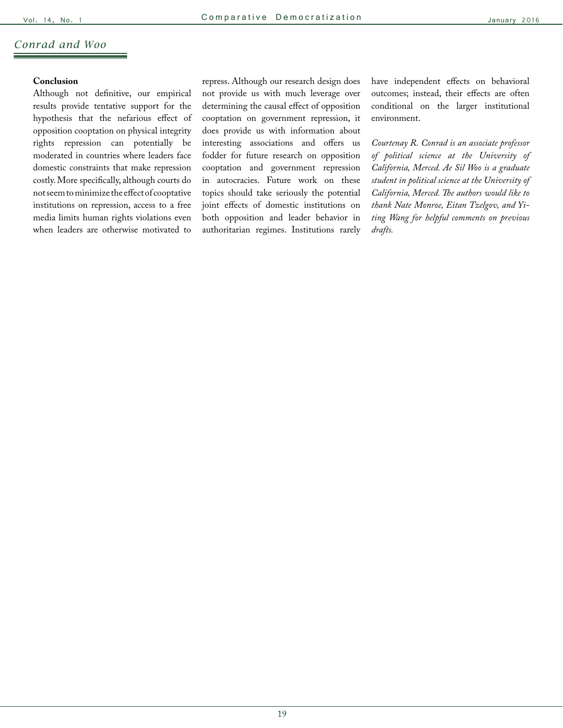### *Conrad and Woo*

### **Conclusion**

Although not definitive, our empirical results provide tentative support for the hypothesis that the nefarious effect of opposition cooptation on physical integrity rights repression can potentially be moderated in countries where leaders face domestic constraints that make repression costly. More specifically, although courts do not seem to minimize the effect of cooptative institutions on repression, access to a free media limits human rights violations even when leaders are otherwise motivated to

repress. Although our research design does not provide us with much leverage over determining the causal effect of opposition cooptation on government repression, it does provide us with information about interesting associations and offers us fodder for future research on opposition cooptation and government repression in autocracies. Future work on these topics should take seriously the potential joint effects of domestic institutions on both opposition and leader behavior in authoritarian regimes. Institutions rarely have independent effects on behavioral outcomes; instead, their effects are often conditional on the larger institutional environment.

*Courtenay R. Conrad is an associate professor of political science at the University of California, Merced. Ae Sil Woo is a graduate student in political science at the University of California, Merced. The authors would like to thank Nate Monroe, Eitan Tzelgov, and Yiting Wang for helpful comments on previous drafts.*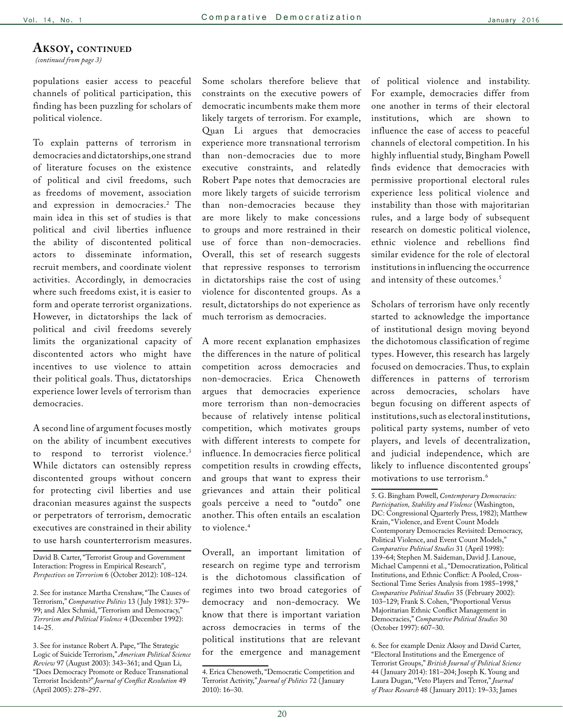#### <span id="page-19-0"></span>AKSOY, CONTINUED

*[\(continued from page 3\)](#page-2-0)*

populations easier access to peaceful channels of political participation, this finding has been puzzling for scholars of political violence.

To explain patterns of terrorism in democracies and dictatorships, one strand of literature focuses on the existence of political and civil freedoms, such as freedoms of movement, association and expression in democracies.2 The main idea in this set of studies is that political and civil liberties influence the ability of discontented political actors to disseminate information, recruit members, and coordinate violent activities. Accordingly, in democracies where such freedoms exist, it is easier to form and operate terrorist organizations. However, in dictatorships the lack of political and civil freedoms severely limits the organizational capacity of discontented actors who might have incentives to use violence to attain their political goals. Thus, dictatorships experience lower levels of terrorism than democracies.

A second line of argument focuses mostly on the ability of incumbent executives to respond to terrorist violence.<sup>3</sup> While dictators can ostensibly repress discontented groups without concern for protecting civil liberties and use draconian measures against the suspects or perpetrators of terrorism, democratic executives are constrained in their ability to use harsh counterterrorism measures.

David B. Carter, "Terrorist Group and Government Interaction: Progress in Empirical Research", *Perspectives on Terrorism* 6 (October 2012): 108–124.

2. See for instance Martha Crenshaw, "The Causes of Terrorism," *Comparative Politics* 13 ( July 1981): 379– 99; and Alex Schmid, "Terrorism and Democracy," *Terrorism and Political Violence* 4 (December 1992): 14–25.

3. See for instance Robert A. Pape, "The Strategic Logic of Suicide Terrorism," *American Political Science Review* 97 (August 2003): 343–361; and Quan Li, "Does Democracy Promote or Reduce Transnational Terrorist Incidents?" *Journal of Conflict Resolution* 49 (April 2005): 278–297.

Some scholars therefore believe that constraints on the executive powers of democratic incumbents make them more likely targets of terrorism. For example, Quan Li argues that democracies experience more transnational terrorism than non-democracies due to more executive constraints, and relatedly Robert Pape notes that democracies are more likely targets of suicide terrorism than non-democracies because they are more likely to make concessions to groups and more restrained in their use of force than non-democracies. Overall, this set of research suggests that repressive responses to terrorism in dictatorships raise the cost of using violence for discontented groups. As a result, dictatorships do not experience as much terrorism as democracies.

A more recent explanation emphasizes the differences in the nature of political competition across democracies and non-democracies. Erica Chenoweth argues that democracies experience more terrorism than non-democracies because of relatively intense political competition, which motivates groups with different interests to compete for influence. In democracies fierce political competition results in crowding effects, and groups that want to express their grievances and attain their political goals perceive a need to "outdo" one another. This often entails an escalation to violence.<sup>4</sup>

Overall, an important limitation of research on regime type and terrorism is the dichotomous classification of regimes into two broad categories of democracy and non-democracy. We know that there is important variation across democracies in terms of the political institutions that are relevant for the emergence and management of political violence and instability. For example, democracies differ from one another in terms of their electoral institutions, which are shown to influence the ease of access to peaceful channels of electoral competition. In his highly influential study, Bingham Powell finds evidence that democracies with permissive proportional electoral rules experience less political violence and instability than those with majoritarian rules, and a large body of subsequent research on domestic political violence, ethnic violence and rebellions find similar evidence for the role of electoral institutions in influencing the occurrence and intensity of these outcomes.<sup>5</sup>

Scholars of terrorism have only recently started to acknowledge the importance of institutional design moving beyond the dichotomous classification of regime types. However, this research has largely focused on democracies. Thus, to explain differences in patterns of terrorism across democracies, scholars have begun focusing on different aspects of institutions, such as electoral institutions, political party systems, number of veto players, and levels of decentralization, and judicial independence, which are likely to influence discontented groups' motivations to use terrorism.6

<sup>4.</sup> Erica Chenoweth, "Democratic Competition and Terrorist Activity," *Journal of Politics* 72 ( January 2010): 16–30.

<sup>5.</sup> G. Bingham Powell, *Contemporary Democracies: Participation, Stability and Violence* (Washington, DC: Congressional Quarterly Press, 1982); Matthew Krain, "Violence, and Event Count Models Contemporary Democracies Revisited: Democracy, Political Violence, and Event Count Models," *Comparative Political Studies* 31 (April 1998): 139–64; Stephen M. Saideman, David J. Lanoue, Michael Campenni et al., "Democratization, Political Institutions, and Ethnic Conflict: A Pooled, Cross-Sectional Time Series Analysis from 1985–1998," *Comparative Political Studies* 35 (February 2002): 103–129; Frank S. Cohen, "Proportional Versus Majoritarian Ethnic Conflict Management in Democracies," *Comparative Political Studies* 30 (October 1997): 607–30.

<sup>6.</sup> See for example Deniz Aksoy and David Carter, "Electoral Institutions and the Emergence of Terrorist Groups," *British Journal of Political Science* 44 ( January 2014): 181–204; Joseph K. Young and Laura Dugan, "Veto Players and Terror," *Journal of Peace Research* 48 ( January 2011): 19–33; James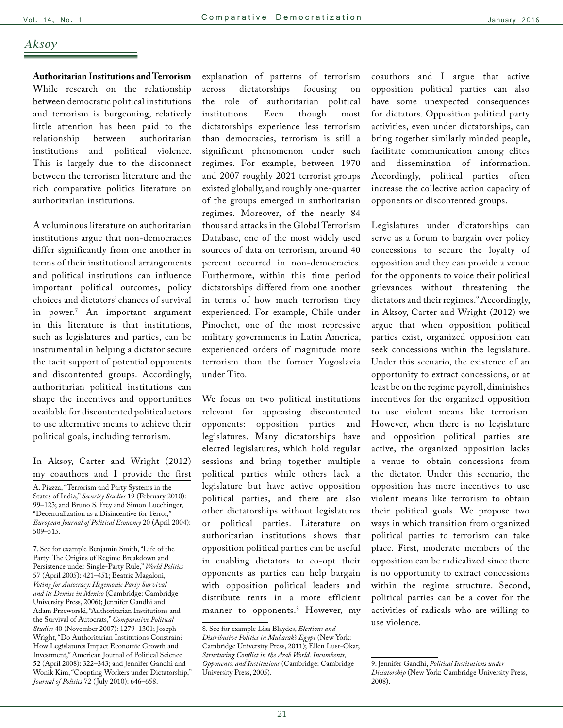### *Aksoy*

**Authoritarian Institutions and Terrorism**  While research on the relationship between democratic political institutions and terrorism is burgeoning, relatively little attention has been paid to the relationship between authoritarian institutions and political violence. This is largely due to the disconnect between the terrorism literature and the rich comparative politics literature on authoritarian institutions.

A voluminous literature on authoritarian institutions argue that non-democracies differ significantly from one another in terms of their institutional arrangements and political institutions can influence important political outcomes, policy choices and dictators' chances of survival in power.7 An important argument in this literature is that institutions, such as legislatures and parties, can be instrumental in helping a dictator secure the tacit support of potential opponents and discontented groups. Accordingly, authoritarian political institutions can shape the incentives and opportunities available for discontented political actors to use alternative means to achieve their political goals, including terrorism.

In Aksoy, Carter and Wright (2012) my coauthors and I provide the first A. Piazza, "Terrorism and Party Systems in the States of India," Security Studies 19 (February 2010): 99–123; and Bruno S. Frey and Simon Luechinger, "Decentralization as a Disincentive for Terror," *European Journal of Political Economy* 20 (April 2004): 509–515.

7. See for example Benjamin Smith, "Life of the Party: The Origins of Regime Breakdown and Persistence under Single-Party Rule," *World Politics* 57 (April 2005): 421–451; Beatriz Magaloni, *Voting for Autocracy: Hegemonic Party Survival and its Demise in Mexico* (Cambridge: Cambridge University Press, 2006); Jennifer Gandhi and Adam Przeworski, "Authoritarian Institutions and the Survival of Autocrats," *Comparative Political Studies* 40 (November 2007): 1279–1301; Joseph Wright, "Do Authoritarian Institutions Constrain? How Legislatures Impact Economic Growth and Investment," American Journal of Political Science 52 (April 2008): 322–343; and Jennifer Gandhi and Wonik Kim, "Coopting Workers under Dictatorship," *Journal of Politics* 72 ( July 2010): 646–658.

explanation of patterns of terrorism across dictatorships focusing on the role of authoritarian political institutions. Even though most dictatorships experience less terrorism than democracies, terrorism is still a significant phenomenon under such regimes. For example, between 1970 and 2007 roughly 2021 terrorist groups existed globally, and roughly one-quarter of the groups emerged in authoritarian regimes. Moreover, of the nearly 84 thousand attacks in the Global Terrorism Database, one of the most widely used sources of data on terrorism, around 40 percent occurred in non-democracies. Furthermore, within this time period dictatorships differed from one another in terms of how much terrorism they experienced. For example, Chile under Pinochet, one of the most repressive military governments in Latin America, experienced orders of magnitude more terrorism than the former Yugoslavia under Tito.

We focus on two political institutions relevant for appeasing discontented opponents: opposition parties and legislatures. Many dictatorships have elected legislatures, which hold regular sessions and bring together multiple political parties while others lack a legislature but have active opposition political parties, and there are also other dictatorships without legislatures or political parties. Literature on authoritarian institutions shows that opposition political parties can be useful in enabling dictators to co-opt their opponents as parties can help bargain with opposition political leaders and distribute rents in a more efficient manner to opponents.8 However, my coauthors and I argue that active opposition political parties can also have some unexpected consequences for dictators. Opposition political party activities, even under dictatorships, can bring together similarly minded people, facilitate communication among elites and dissemination of information. Accordingly, political parties often increase the collective action capacity of opponents or discontented groups.

Legislatures under dictatorships can serve as a forum to bargain over policy concessions to secure the loyalty of opposition and they can provide a venue for the opponents to voice their political grievances without threatening the dictators and their regimes.9 Accordingly, in Aksoy, Carter and Wright (2012) we argue that when opposition political parties exist, organized opposition can seek concessions within the legislature. Under this scenario, the existence of an opportunity to extract concessions, or at least be on the regime payroll, diminishes incentives for the organized opposition to use violent means like terrorism. However, when there is no legislature and opposition political parties are active, the organized opposition lacks a venue to obtain concessions from the dictator. Under this scenario, the opposition has more incentives to use violent means like terrorism to obtain their political goals. We propose two ways in which transition from organized political parties to terrorism can take place. First, moderate members of the opposition can be radicalized since there is no opportunity to extract concessions within the regime structure. Second, political parties can be a cover for the activities of radicals who are willing to use violence.

<sup>8.</sup> See for example Lisa Blaydes, *Elections and Distributive Politics in Mubarak's Egypt* (New York: Cambridge University Press, 2011); Ellen Lust-Okar, *Structuring Conflict in the Arab World. Incumbents, Opponents, and Institutions* (Cambridge: Cambridge University Press, 2005).

<sup>9.</sup> Jennifer Gandhi, *Political Institutions under Dictatorship* (New York: Cambridge University Press, 2008).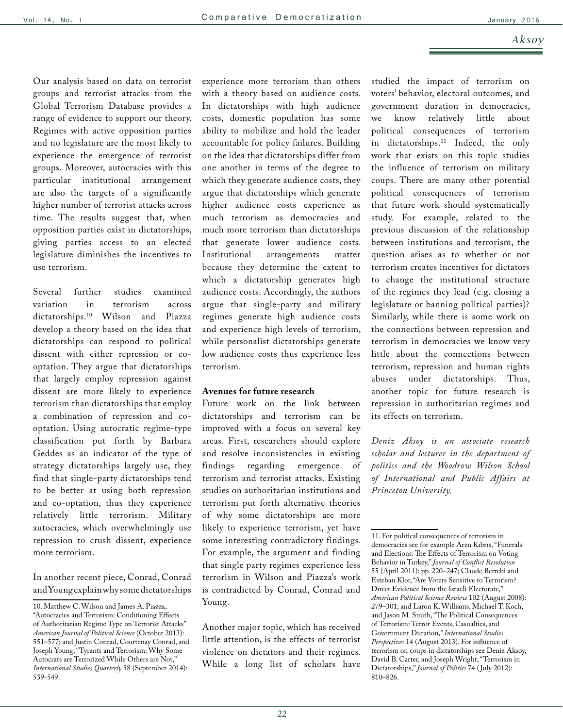Our analysis based on data on terrorist groups and terrorist attacks from the Global Terrorism Database provides a range of evidence to support our theory. Regimes with active opposition parties and no legislature are the most likely to experience the emergence of terrorist groups. Moreover, autocracies with this particular institutional arrangement are also the targets of a significantly higher number of terrorist attacks across time. The results suggest that, when opposition parties exist in dictatorships, giving parties access to an elected legislature diminishes the incentives to use terrorism.

Several further studies examined variation in terrorism across dictatorships.10 Wilson and Piazza develop a theory based on the idea that dictatorships can respond to political dissent with either repression or cooptation. They argue that dictatorships that largely employ repression against dissent are more likely to experience terrorism than dictatorships that employ a combination of repression and cooptation. Using autocratic regime-type classification put forth by Barbara Geddes as an indicator of the type of strategy dictatorships largely use, they find that single-party dictatorships tend to be better at using both repression and co-optation, thus they experience relatively little terrorism. Military autocracies, which overwhelmingly use repression to crush dissent, experience more terrorism.

### In another recent piece, Conrad, Conrad and Young explain why some dictatorships

experience more terrorism than others with a theory based on audience costs. In dictatorships with high audience costs, domestic population has some ability to mobilize and hold the leader accountable for policy failures. Building on the idea that dictatorships differ from one another in terms of the degree to which they generate audience costs, they argue that dictatorships which generate higher audience costs experience as much terrorism as democracies and much more terrorism than dictatorships that generate lower audience costs. Institutional arrangements matter because they determine the extent to which a dictatorship generates high audience costs. Accordingly, the authors argue that single-party and military regimes generate high audience costs and experience high levels of terrorism, while personalist dictatorships generate low audience costs thus experience less terrorism.

#### **Avenues for future research**

Future work on the link between dictatorships and terrorism can be improved with a focus on several key areas. First, researchers should explore and resolve inconsistencies in existing findings regarding emergence of terrorism and terrorist attacks. Existing studies on authoritarian institutions and terrorism put forth alternative theories of why some dictatorships are more likely to experience terrorism, yet have some interesting contradictory findings. For example, the argument and finding that single party regimes experience less terrorism in Wilson and Piazza's work is contradicted by Conrad, Conrad and Young.

Another major topic, which has received little attention, is the effects of terrorist violence on dictators and their regimes. While a long list of scholars have studied the impact of terrorism on voters' behavior, electoral outcomes, and government duration in democracies, we know relatively little about political consequences of terrorism in dictatorships.11 Indeed, the only work that exists on this topic studies the influence of terrorism on military coups. There are many other potential political consequences of terrorism that future work should systematically study. For example, related to the previous discussion of the relationship between institutions and terrorism, the question arises as to whether or not terrorism creates incentives for dictators to change the institutional structure of the regimes they lead (e.g. closing a legislature or banning political parties)? Similarly, while there is some work on the connections between repression and terrorism in democracies we know very little about the connections between terrorism, repression and human rights abuses under dictatorships. Thus, another topic for future research is repression in authoritarian regimes and its effects on terrorism.

*Deniz Aksoy is an associate research scholar and lecturer in the department of politics and the Woodrow Wilson School of International and Public Affairs at Princeton University.* 

<sup>10.</sup> Matthew C. Wilson and James A. Piazza, "Autocracies and Terrorism: Conditioning Effects of Authoritarian Regime Type on Terrorist Attacks" *American Journal of Political Science* (October 2013): 551–577; and Justin Conrad, Courtenay Conrad, and Joseph Young, "Tyrants and Terrorism: Why Some Autocrats are Terrorized While Others are Not," *International Studies Quarterly* 58 (September 2014): 539-549.

<sup>11.</sup> For political consequences of terrorism in democracies see for example Arzu Kıbrıs, "Funerals and Elections: The Effects of Terrorism on Voting Behavior in Turkey," *Journal of Conflict Resolution* 55 (April 2011): pp. 220–247; Claude Berrebi and Esteban Klor, "Are Voters Sensitive to Terrorism? Direct Evidence from the Israeli Electorate," *American Political Science Review* 102 (August 2008): 279–301; and Laron K. Williams, Michael T. Koch, and Jason M. Smith, "The Political Consequences of Terrorism: Terror Events, Casualties, and Government Duration," *International Studies Perspectives* 14 (August 2013). For influence of terrorism on coups in dictatorships see Deniz Aksoy, David B. Carter, and Joseph Wright, "Terrorism in Dictatorships," *Journal of Politics* 74 ( July 2012): 810–826.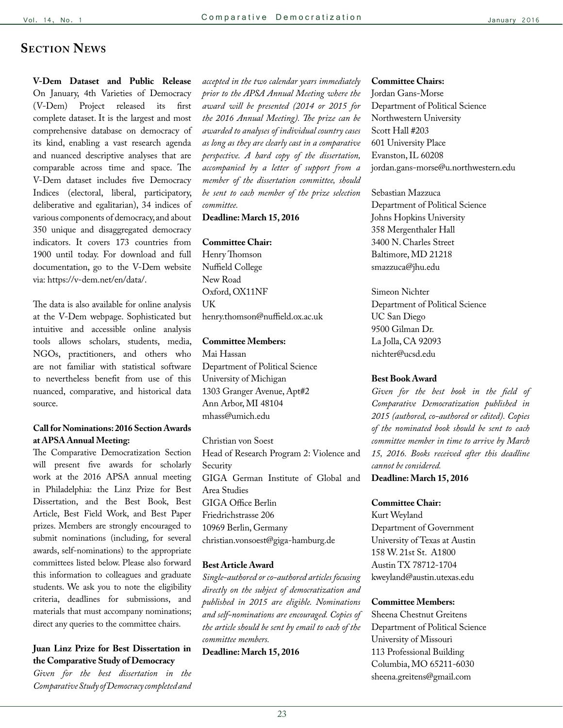### **Section News**

**V-Dem Dataset and Public Release**  On January, 4th Varieties of Democracy (V-Dem) Project released its first complete dataset. It is the largest and most comprehensive database on democracy of its kind, enabling a vast research agenda and nuanced descriptive analyses that are comparable across time and space. The V-Dem dataset includes five Democracy Indices (electoral, liberal, participatory, deliberative and egalitarian), 34 indices of various components of democracy, and about 350 unique and disaggregated democracy indicators. It covers 173 countries from 1900 until today. For download and full documentation, go to the V-Dem website via: https://v-dem.net/en/data/.

The data is also available for online analysis at the V-Dem webpage. Sophisticated but intuitive and accessible online analysis tools allows scholars, students, media, NGOs, practitioners, and others who are not familiar with statistical software to nevertheless benefit from use of this nuanced, comparative, and historical data source.

#### **Call for Nominations: 2016 Section Awards at APSA Annual Meeting:**

The Comparative Democratization Section will present five awards for scholarly work at the 2016 APSA annual meeting in Philadelphia: the Linz Prize for Best Dissertation, and the Best Book, Best Article, Best Field Work, and Best Paper prizes. Members are strongly encouraged to submit nominations (including, for several awards, self-nominations) to the appropriate committees listed below. Please also forward this information to colleagues and graduate students. We ask you to note the eligibility criteria, deadlines for submissions, and materials that must accompany nominations; direct any queries to the committee chairs.

### **Juan Linz Prize for Best Dissertation in the Comparative Study of Democracy**

*Given for the best dissertation in the Comparative Study of Democracy completed and* 

*accepted in the two calendar years immediately prior to the APSA Annual Meeting where the award will be presented (2014 or 2015 for the 2016 Annual Meeting). The prize can be awarded to analyses of individual country cases as long as they are clearly cast in a comparative perspective. A hard copy of the dissertation, accompanied by a letter of support from a member of the dissertation committee, should be sent to each member of the prize selection committee.* 

**Deadline: March 15, 2016**

#### **Committee Chair:**

Henry Thomson Nuffield College New Road Oxford, OX11NF UK henry.thomson@nuffield.ox.ac.uk

#### **Committee Members:**

Mai Hassan Department of Political Science University of Michigan 1303 Granger Avenue, Apt#2 Ann Arbor, MI 48104 mhass@umich.edu

Christian von Soest Head of Research Program 2: Violence and Security GIGA German Institute of Global and Area Studies GIGA Office Berlin Friedrichstrasse 206 10969 Berlin, Germany christian.vonsoest@giga-hamburg.de

#### **Best Article Award**

*Single-authored or co-authored articles focusing directly on the subject of democratization and published in 2015 are eligible. Nominations and self-nominations are encouraged. Copies of the article should be sent by email to each of the committee members.* 

**Deadline: March 15, 2016**

#### **Committee Chairs:**

Jordan Gans-Morse Department of Political Science Northwestern University Scott Hall #203 601 University Place Evanston, IL 60208 jordan.gans-morse@u.northwestern.edu

Sebastian Mazzuca Department of Political Science Johns Hopkins University 358 Mergenthaler Hall 3400 N. Charles Street Baltimore, MD 21218 smazzuca@jhu.edu

Simeon Nichter Department of Political Science UC San Diego 9500 Gilman Dr. La Jolla, CA 92093 nichter@ucsd.edu

#### **Best Book Award**

*Given for the best book in the field of Comparative Democratization published in 2015 (authored, co-authored or edited). Copies of the nominated book should be sent to each committee member in time to arrive by March 15, 2016. Books received after this deadline cannot be considered.*

#### **Deadline: March 15, 2016**

#### **Committee Chair:**

Kurt Weyland Department of Government University of Texas at Austin 158 W. 21st St. A1800 Austin TX 78712-1704 kweyland@austin.utexas.edu

#### **Committee Members:**

Sheena Chestnut Greitens Department of Political Science University of Missouri 113 Professional Building Columbia, MO 65211-6030 sheena.greitens@gmail.com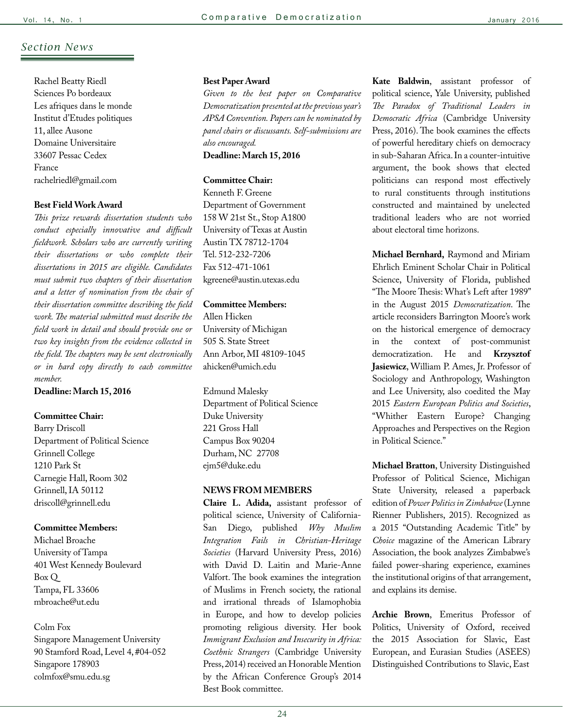### *Section News*

Rachel Beatty Riedl Sciences Po bordeaux Les afriques dans le monde Institut d'Etudes politiques 11, allee Ausone Domaine Universitaire 33607 Pessac Cedex France rachelriedl@gmail.com

#### **Best Field Work Award**

*This prize rewards dissertation students who conduct especially innovative and difficult fieldwork. Scholars who are currently writing their dissertations or who complete their dissertations in 2015 are eligible. Candidates must submit two chapters of their dissertation and a letter of nomination from the chair of their dissertation committee describing the field work. The material submitted must describe the field work in detail and should provide one or two key insights from the evidence collected in the field. The chapters may be sent electronically or in hard copy directly to each committee member.*

**Deadline: March 15, 2016**

#### **Committee Chair:**

Barry Driscoll Department of Political Science Grinnell College 1210 Park St Carnegie Hall, Room 302 Grinnell, IA 50112 driscoll@grinnell.edu

#### **Committee Members:**

Michael Broache University of Tampa 401 West Kennedy Boulevard Box Q Tampa, FL 33606 mbroache@ut.edu

#### Colm Fox

Singapore Management University 90 Stamford Road, Level 4, #04-052 Singapore 178903 colmfox@smu.edu.sg

#### **Best Paper Award**

*Given to the best paper on Comparative Democratization presented at the previous year's APSA Convention. Papers can be nominated by panel chairs or discussants. Self-submissions are also encouraged.* 

**Deadline: March 15, 2016**

### **Committee Chair:**

Kenneth F. Greene Department of Government 158 W 21st St., Stop A1800 University of Texas at Austin Austin TX 78712-1704 Tel. 512-232-7206 Fax 512-471-1061 kgreene@austin.utexas.edu

#### **Committee Members:**

Allen Hicken University of Michigan 505 S. State Street Ann Arbor, MI 48109-1045 ahicken@umich.edu

Edmund Malesky Department of Political Science Duke University 221 Gross Hall Campus Box 90204 Durham, NC 27708 ejm5@duke.edu

#### **NEWS FROM MEMBERS**

**Claire L. Adida,** assistant professor of political science, University of California-San Diego, published *Why Muslim Integration Fails in Christian-Heritage Societies* (Harvard University Press, 2016) with David D. Laitin and Marie-Anne Valfort. The book examines the integration of Muslims in French society, the rational and irrational threads of Islamophobia in Europe, and how to develop policies promoting religious diversity. Her book *Immigrant Exclusion and Insecurity in Africa: Coethnic Strangers* (Cambridge University Press, 2014) received an Honorable Mention by the African Conference Group's 2014 Best Book committee.

**Kate Baldwin**, assistant professor of political science, Yale University, published *The Paradox of Traditional Leaders in Democratic Africa* (Cambridge University Press, 2016). The book examines the effects of powerful hereditary chiefs on democracy in sub-Saharan Africa. In a counter-intuitive argument, the book shows that elected politicians can respond most effectively to rural constituents through institutions constructed and maintained by unelected traditional leaders who are not worried about electoral time horizons.

**Michael Bernhard,** Raymond and Miriam Ehrlich Eminent Scholar Chair in Political Science, University of Florida, published "The Moore Thesis: What's Left after 1989" in the August 2015 *Democratization*. The article reconsiders Barrington Moore's work on the historical emergence of democracy in the context of post-communist democratization. He and **Krzysztof Jasiewicz**, William P. Ames, Jr. Professor of Sociology and Anthropology, Washington and Lee University, also coedited the May 2015 *Eastern European Politics and Societies*, "Whither Eastern Europe? Changing Approaches and Perspectives on the Region in Political Science."

**Michael Bratton**, University Distinguished Professor of Political Science, Michigan State University, released a paperback edition of *Power Politics in Zimbabwe* (Lynne Rienner Publishers, 2015). Recognized as a 2015 "Outstanding Academic Title" by *Choice* magazine of the American Library Association, the book analyzes Zimbabwe's failed power-sharing experience, examines the institutional origins of that arrangement, and explains its demise.

**Archie Brown**, Emeritus Professor of Politics, University of Oxford, received the 2015 Association for Slavic, East European, and Eurasian Studies (ASEES) Distinguished Contributions to Slavic, East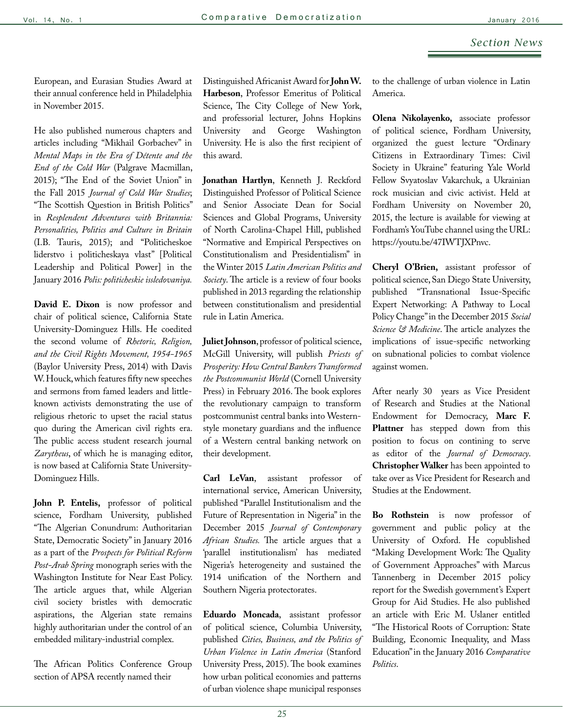European, and Eurasian Studies Award at their annual conference held in Philadelphia in November 2015.

He also published numerous chapters and articles including "Mikhail Gorbachev" in *Mental Maps in the Era of Détente and the End of the Cold War* (Palgrave Macmillan, 2015); "The End of the Soviet Union" in the Fall 2015 *Journal of Cold War Studies*; "The Scottish Question in British Politics" in *Resplendent Adventures with Britannia: Personalities, Politics and Culture in Britain* (I.B. Tauris, 2015); and "Politicheskoe liderstvo i politicheskaya vlast" [Political Leadership and Political Power] in the January 2016 *Polis: politicheskie issledovaniya.*

**David E. Dixon** is now professor and chair of political science, California State University-Dominguez Hills. He coedited the second volume of *Rhetoric, Religion, and the Civil Rights Movement, 1954-1965* (Baylor University Press, 2014) with Davis W. Houck, which features fifty new speeches and sermons from famed leaders and littleknown activists demonstrating the use of religious rhetoric to upset the racial status quo during the American civil rights era. The public access student research journal *Zarytheus*, of which he is managing editor, is now based at California State University-Dominguez Hills.

**John P. Entelis,** professor of political science, Fordham University, published "The Algerian Conundrum: Authoritarian State, Democratic Society" in January 2016 as a part of the *Prospects for Political Reform Post-Arab Spring* monograph series with the Washington Institute for Near East Policy. The article argues that, while Algerian civil society bristles with democratic aspirations, the Algerian state remains highly authoritarian under the control of an embedded military-industrial complex.

The African Politics Conference Group section of APSA recently named their

Distinguished Africanist Award for **John W. Harbeson**, Professor Emeritus of Political Science, The City College of New York, and professorial lecturer, Johns Hopkins University and George Washington University. He is also the first recipient of this award.

**Jonathan Hartlyn**, Kenneth J. Reckford Distinguished Professor of Political Science and Senior Associate Dean for Social Sciences and Global Programs, University of North Carolina-Chapel Hill, published "Normative and Empirical Perspectives on Constitutionalism and Presidentialism" in the Winter 2015 *Latin American Politics and Society*. The article is a review of four books published in 2013 regarding the relationship between constitutionalism and presidential rule in Latin America.

**Juliet Johnson**, professor of political science, McGill University, will publish *Priests of Prosperity: How Central Bankers Transformed the Postcommunist World* (Cornell University Press) in February 2016. The book explores the revolutionary campaign to transform postcommunist central banks into Westernstyle monetary guardians and the influence of a Western central banking network on their development.

**Carl LeVan**, assistant professor of international service, American University, published "Parallel Institutionalism and the Future of Representation in Nigeria" in the December 2015 *Journal of Contemporary African Studies.* The article argues that a 'parallel institutionalism' has mediated Nigeria's heterogeneity and sustained the 1914 unification of the Northern and Southern Nigeria protectorates.

**Eduardo Moncada**, assistant professor of political science, Columbia University, published *Cities, Business, and the Politics of Urban Violence in Latin America* (Stanford University Press, 2015). The book examines how urban political economies and patterns of urban violence shape municipal responses

to the challenge of urban violence in Latin America.

**Olena Nikolayenko,** associate professor of political science, Fordham University, organized the guest lecture "Ordinary Citizens in Extraordinary Times: Civil Society in Ukraine" featuring Yale World Fellow Svyatoslav Vakarchuk, a Ukrainian rock musician and civic activist. Held at Fordham University on November 20, 2015, the lecture is available for viewing at Fordham's YouTube channel using the URL: https://youtu.be/47IWTJXPnvc.

**Cheryl O'Brien,** assistant professor of political science, San Diego State University, published "Transnational Issue-Specific Expert Networking: A Pathway to Local Policy Change" in the December 2015 *Social Science & Medicine*. The article analyzes the implications of issue-specific networking on subnational policies to combat violence against women.

After nearly 30 years as Vice President of Research and Studies at the National Endowment for Democracy, **Marc F. Plattner** has stepped down from this position to focus on contining to serve as editor of the *Journal of Democracy*. **Christopher Walker** has been appointed to take over as Vice President for Research and Studies at the Endowment.

**Bo Rothstein** is now professor of government and public policy at the University of Oxford. He copublished "Making Development Work: The Quality of Government Approaches" with Marcus Tannenberg in December 2015 policy report for the Swedish government's Expert Group for Aid Studies. He also published an article with Eric M. Uslaner entitled "The Historical Roots of Corruption: State Building, Economic Inequality, and Mass Education" in the January 2016 *Comparative Politics*.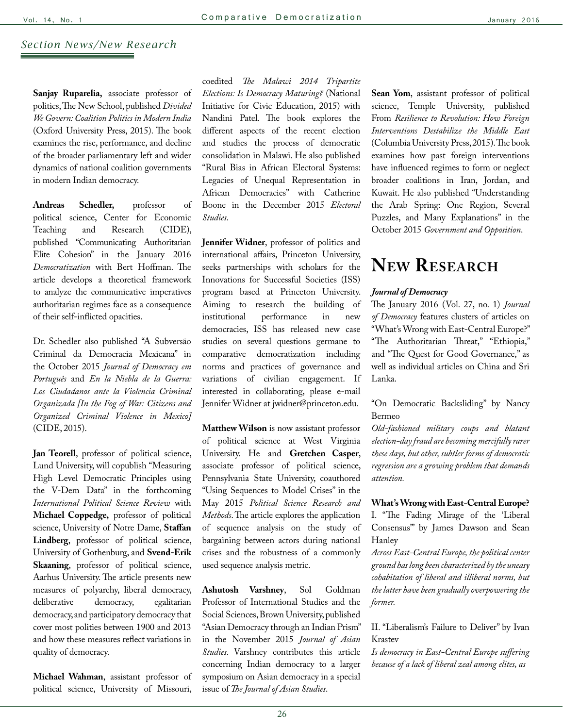### *Section News/New Research*

**Sanjay Ruparelia,** associate professor of politics, The New School, published *Divided We Govern: Coalition Politics in Modern India* (Oxford University Press, 2015). The book examines the rise, performance, and decline of the broader parliamentary left and wider dynamics of national coalition governments in modern Indian democracy.

**Andreas Schedler,** professor of political science, Center for Economic Teaching and Research (CIDE), published "Communicating Authoritarian Elite Cohesion" in the January 2016 *Democratization* with Bert Hoffman. The article develops a theoretical framework to analyze the communicative imperatives authoritarian regimes face as a consequence of their self-inflicted opacities.

Dr. Schedler also published "A Subversão Criminal da Democracia Mexicana" in the October 2015 *Journal of Democracy em Português* and *En la Niebla de la Guerra: Los Ciudadanos ante la Violencia Criminal Organizada [In the Fog of War: Citizens and Organized Criminal Violence in Mexico]* (CIDE, 2015).

**Jan Teorell**, professor of political science, Lund University, will copublish "Measuring High Level Democratic Principles using the V-Dem Data" in the forthcoming *International Political Science Review* with **Michael Coppedge,** professor of political science, University of Notre Dame, **Staffan Lindberg**, professor of political science, University of Gothenburg, and **Svend-Erik Skaaning**, professor of political science, Aarhus University. The article presents new measures of polyarchy, liberal democracy, deliberative democracy, egalitarian democracy, and participatory democracy that cover most polities between 1900 and 2013 and how these measures reflect variations in quality of democracy.

**Michael Wahman**, assistant professor of political science, University of Missouri,

coedited *The Malawi 2014 Tripartite Elections: Is Democracy Maturing?* (National Initiative for Civic Education, 2015) with Nandini Patel. The book explores the different aspects of the recent election and studies the process of democratic consolidation in Malawi. He also published "Rural Bias in African Electoral Systems: Legacies of Unequal Representation in African Democracies" with Catherine Boone in the December 2015 *Electoral Studies*.

**Jennifer Widner**, professor of politics and international affairs, Princeton University, seeks partnerships with scholars for the Innovations for Successful Societies (ISS) program based at Princeton University. Aiming to research the building of institutional performance in new democracies, ISS has released new case studies on several questions germane to comparative democratization including norms and practices of governance and variations of civilian engagement. If interested in collaborating, please e-mail Jennifer Widner at jwidner@princeton.edu.

**Matthew Wilson** is now assistant professor of political science at West Virginia University. He and **Gretchen Casper**, associate professor of political science, Pennsylvania State University, coauthored "Using Sequences to Model Crises" in the May 2015 *Political Science Research and Methods*. The article explores the application of sequence analysis on the study of bargaining between actors during national crises and the robustness of a commonly used sequence analysis metric.

**Ashutosh Varshney**, Sol Goldman Professor of International Studies and the Social Sciences, Brown University, published "Asian Democracy through an Indian Prism" in the November 2015 *Journal of Asian Studies*. Varshney contributes this article concerning Indian democracy to a larger symposium on Asian democracy in a special issue of *The Journal of Asian Studies*.

**Sean Yom**, assistant professor of political science, Temple University, published From *Resilience to Revolution: How Foreign Interventions Destabilize the Middle East*  (Columbia University Press, 2015). The book examines how past foreign interventions have influenced regimes to form or neglect broader coalitions in Iran, Jordan, and Kuwait. He also published "Understanding the Arab Spring: One Region, Several Puzzles, and Many Explanations" in the October 2015 *Government and Opposition*.

# **New Research**

#### *Journal of Democracy*

The January 2016 (Vol. 27, no. 1) *Journal of Democracy* features clusters of articles on "What's Wrong with East-Central Europe?" "The Authoritarian Threat," "Ethiopia," and "The Quest for Good Governance," as well as individual articles on China and Sri Lanka.

"On Democratic Backsliding" by Nancy Bermeo

*Old-fashioned military coups and blatant election-day fraud are becoming mercifully rarer these days, but other, subtler forms of democratic regression are a growing problem that demands attention.*

**What's Wrong with East-Central Europe?** I. "The Fading Mirage of the 'Liberal Consensus'" by James Dawson and Sean Hanley

*Across East-Central Europe, the political center ground has long been characterized by the uneasy cohabitation of liberal and illiberal norms, but the latter have been gradually overpowering the former.* 

II. "Liberalism's Failure to Deliver" by Ivan Krastev

*Is democracy in East-Central Europe suffering because of a lack of liberal zeal among elites, as*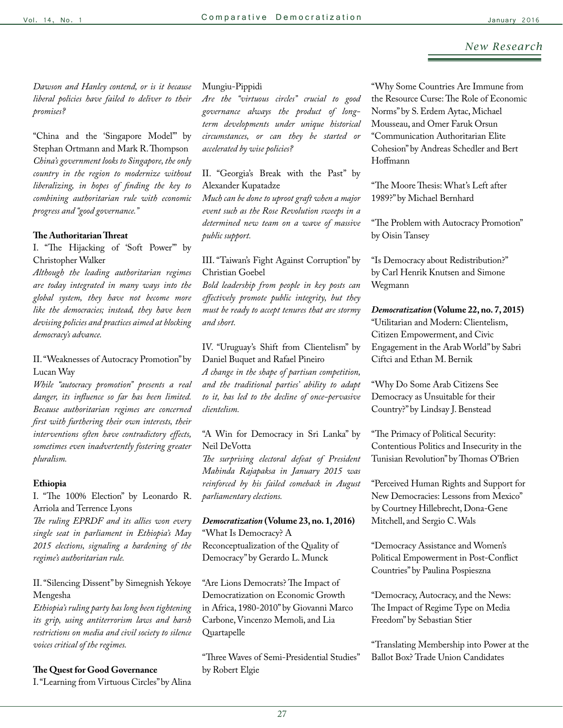*Dawson and Hanley contend, or is it because liberal policies have failed to deliver to their promises?*

"China and the 'Singapore Model'" by Stephan Ortmann and Mark R. Thompson *China's government looks to Singapore, the only country in the region to modernize without liberalizing, in hopes of finding the key to combining authoritarian rule with economic progress and "good governance."*

### **The Authoritarian Threat**

I. "The Hijacking of 'Soft Power'" by Christopher Walker

*Although the leading authoritarian regimes are today integrated in many ways into the global system, they have not become more like the democracies; instead, they have been devising policies and practices aimed at blocking democracy's advance.* 

II. "Weaknesses of Autocracy Promotion" by Lucan Way

*While "autocracy promotion" presents a real danger, its influence so far has been limited. Because authoritarian regimes are concerned first with furthering their own interests, their interventions often have contradictory effects, sometimes even inadvertently fostering greater pluralism.* 

### **Ethiopia**

I. "The 100% Election" by Leonardo R. Arriola and Terrence Lyons

*The ruling EPRDF and its allies won every single seat in parliament in Ethiopia's May 2015 elections, signaling a hardening of the regime's authoritarian rule.*

II. "Silencing Dissent" by Simegnish Yekoye Mengesha

*Ethiopia's ruling party has long been tightening its grip, using antiterrorism laws and harsh restrictions on media and civil society to silence voices critical of the regimes.*

## **The Quest for Good Governance**

I. "Learning from Virtuous Circles" by Alina

#### Mungiu-Pippidi

*Are the "virtuous circles" crucial to good governance always the product of longterm developments under unique historical circumstances, or can they be started or accelerated by wise policies?* 

II. "Georgia's Break with the Past" by Alexander Kupatadze

*Much can be done to uproot graft when a major event such as the Rose Revolution sweeps in a determined new team on a wave of massive public support.* 

### III. "Taiwan's Fight Against Corruption" by Christian Goebel

*Bold leadership from people in key posts can effectively promote public integrity, but they must be ready to accept tenures that are stormy and short.*

IV. "Uruguay's Shift from Clientelism" by Daniel Buquet and Rafael Pineiro

*A change in the shape of partisan competition, and the traditional parties' ability to adapt to it, has led to the decline of once-pervasive clientelism.*

"A Win for Democracy in Sri Lanka" by Neil DeVotta

*The surprising electoral defeat of President Mahinda Rajapaksa in January 2015 was reinforced by his failed comeback in August parliamentary elections.* 

#### *Democratization* **(Volume 23, no. 1, 2016)**  "What Is Democracy? A

Reconceptualization of the Quality of Democracy" by Gerardo L. Munck

"Are Lions Democrats? The Impact of Democratization on Economic Growth in Africa, 1980-2010" by Giovanni Marco Carbone, Vincenzo Memoli, and Lia Quartapelle

"Three Waves of Semi-Presidential Studies" by Robert Elgie

"Why Some Countries Are Immune from the Resource Curse: The Role of Economic Norms" by S. Erdem Aytac, Michael Mousseau, and Omer Faruk Orsun "Communication Authoritarian Elite Cohesion" by Andreas Schedler and Bert Hoffmann

"The Moore Thesis: What's Left after 1989?" by Michael Bernhard

"The Problem with Autocracy Promotion" by Oisin Tansey

"Is Democracy about Redistribution?" by Carl Henrik Knutsen and Simone Wegmann

*Democratization* **(Volume 22, no. 7, 2015)**  "Utilitarian and Modern: Clientelism, Citizen Empowerment, and Civic Engagement in the Arab World" by Sabri Ciftci and Ethan M. Bernik

"Why Do Some Arab Citizens See Democracy as Unsuitable for their Country?" by Lindsay J. Benstead

"The Primacy of Political Security: Contentious Politics and Insecurity in the Tunisian Revolution" by Thomas O'Brien

"Perceived Human Rights and Support for New Democracies: Lessons from Mexico" by Courtney Hillebrecht, Dona-Gene Mitchell, and Sergio C. Wals

"Democracy Assistance and Women's Political Empowerment in Post-Conflict Countries" by Paulina Pospieszna

"Democracy, Autocracy, and the News: The Impact of Regime Type on Media Freedom" by Sebastian Stier

"Translating Membership into Power at the Ballot Box? Trade Union Candidates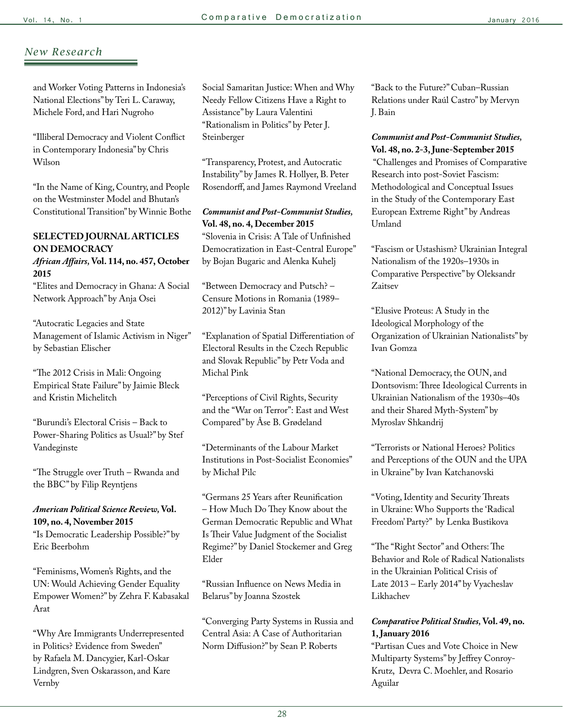and Worker Voting Patterns in Indonesia's National Elections" by Teri L. Caraway, Michele Ford, and Hari Nugroho

"Illiberal Democracy and Violent Conflict in Contemporary Indonesia" by Chris Wilson

"In the Name of King, Country, and People on the Westminster Model and Bhutan's Constitutional Transition" by Winnie Bothe

### **SELECTED JOURNAL ARTICLES ON DEMOCRACY**

### *African Affairs,* **Vol. 114, no. 457, October 2015**

"Elites and Democracy in Ghana: A Social Network Approach" by Anja Osei

"Autocratic Legacies and State Management of Islamic Activism in Niger" by Sebastian Elischer

"The 2012 Crisis in Mali: Ongoing Empirical State Failure" by Jaimie Bleck and Kristin Michelitch

"Burundi's Electoral Crisis – Back to Power-Sharing Politics as Usual?" by Stef Vandeginste

"The Struggle over Truth – Rwanda and the BBC" by Filip Reyntjens

### *American Political Science Review,* **Vol. 109, no. 4, November 2015**

"Is Democratic Leadership Possible?" by Eric Beerbohm

"Feminisms, Women's Rights, and the UN: Would Achieving Gender Equality Empower Women?" by Zehra F. Kabasakal Arat

"Why Are Immigrants Underrepresented in Politics? Evidence from Sweden" by Rafaela M. Dancygier, Karl-Oskar Lindgren, Sven Oskarasson, and Kare Vernby

Social Samaritan Justice: When and Why Needy Fellow Citizens Have a Right to Assistance" by Laura Valentini "Rationalism in Politics" by Peter J. Steinberger

"Transparency, Protest, and Autocratic Instability" by James R. Hollyer, B. Peter Rosendorff, and James Raymond Vreeland

*Communist and Post-Communist Studies,*  **Vol. 48, no. 4, December 2015** "Slovenia in Crisis: A Tale of Unfinished Democratization in East-Central Europe" by Bojan Bugaric and Alenka Kuhelj

"Between Democracy and Putsch? – Censure Motions in Romania (1989– 2012)" by Lavinia Stan

"Explanation of Spatial Differentiation of Electoral Results in the Czech Republic and Slovak Republic" by Petr Voda and Michal Pink

"Perceptions of Civil Rights, Security and the "War on Terror": East and West Compared" by Åse B. Grødeland

"Determinants of the Labour Market Institutions in Post-Socialist Economies" by Michał Pilc

"Germans 25 Years after Reunification – How Much Do They Know about the German Democratic Republic and What Is Their Value Judgment of the Socialist Regime?" by Daniel Stockemer and Greg Elder

"Russian Influence on News Media in Belarus" by Joanna Szostek

"Converging Party Systems in Russia and Central Asia: A Case of Authoritarian Norm Diffusion?" by Sean P. Roberts

"Back to the Future?" Cuban–Russian Relations under Raúl Castro" by Mervyn J. Bain

*Communist and Post-Communist Studies,*  **Vol. 48, no. 2-3, June-September 2015** "Challenges and Promises of Comparative Research into post-Soviet Fascism: Methodological and Conceptual Issues in the Study of the Contemporary East European Extreme Right" by Andreas Umland

"Fascism or Ustashism? Ukrainian Integral Nationalism of the 1920s–1930s in Comparative Perspective" by Oleksandr Zaitsev

"Elusive Proteus: A Study in the Ideological Morphology of the Organization of Ukrainian Nationalists" by Ivan Gomza

"National Democracy, the OUN, and Dontsovism: Three Ideological Currents in Ukrainian Nationalism of the 1930s–40s and their Shared Myth-System" by Myroslav Shkandrij

"Terrorists or National Heroes? Politics and Perceptions of the OUN and the UPA in Ukraine" by Ivan Katchanovski

"Voting, Identity and Security Threats in Ukraine: Who Supports the 'Radical Freedom' Party?" by Lenka Bustikova

"The "Right Sector" and Others: The Behavior and Role of Radical Nationalists in the Ukrainian Political Crisis of Late 2013 – Early 2014" by Vyacheslav Likhachev

### *Comparative Political Studies,* **Vol. 49, no. 1, January 2016**

"Partisan Cues and Vote Choice in New Multiparty Systems" by Jeffrey Conroy-Krutz, Devra C. Moehler, and Rosario Aguilar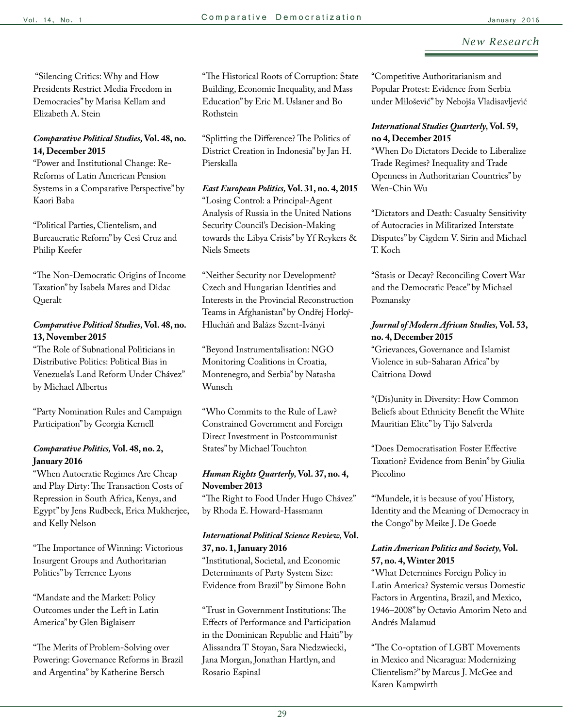"Silencing Critics: Why and How Presidents Restrict Media Freedom in Democracies" by Marisa Kellam and Elizabeth A. Stein

### *Comparative Political Studies,* **Vol. 48, no. 14, December 2015**

"Power and Institutional Change: Re-Reforms of Latin American Pension Systems in a Comparative Perspective" by Kaori Baba

"Political Parties, Clientelism, and Bureaucratic Reform" by Cesi Cruz and Philip Keefer

"The Non-Democratic Origins of Income Taxation" by Isabela Mares and Didac Queralt

### *Comparative Political Studies,* **Vol. 48, no. 13, November 2015**

"The Role of Subnational Politicians in Distributive Politics: Political Bias in Venezuela's Land Reform Under Chávez" by Michael Albertus

"Party Nomination Rules and Campaign Participation" by Georgia Kernell

### *Comparative Politics,* **Vol. 48, no. 2, January 2016**

"When Autocratic Regimes Are Cheap and Play Dirty: The Transaction Costs of Repression in South Africa, Kenya, and Egypt" by Jens Rudbeck, Erica Mukherjee, and Kelly Nelson

"The Importance of Winning: Victorious Insurgent Groups and Authoritarian Politics" by Terrence Lyons

"Mandate and the Market: Policy Outcomes under the Left in Latin America" by Glen Biglaiserr

"The Merits of Problem-Solving over Powering: Governance Reforms in Brazil and Argentina" by Katherine Bersch

"The Historical Roots of Corruption: State Building, Economic Inequality, and Mass Education" by Eric M. Uslaner and Bo Rothstein

"Splitting the Difference? The Politics of District Creation in Indonesia" by Jan H. Pierskalla

*East European Politics,* **Vol. 31, no. 4, 2015** "Losing Control: a Principal-Agent Analysis of Russia in the United Nations Security Council's Decision-Making towards the Libya Crisis" by Yf Reykers & Niels Smeets

"Neither Security nor Development? Czech and Hungarian Identities and Interests in the Provincial Reconstruction Teams in Afghanistan" by Ondřej Horký-Hlucháň and Balázs Szent-Iványi

"Beyond Instrumentalisation: NGO Monitoring Coalitions in Croatia, Montenegro, and Serbia" by Natasha Wunsch

"Who Commits to the Rule of Law? Constrained Government and Foreign Direct Investment in Postcommunist States" by Michael Touchton

### *Human Rights Quarterly,* **Vol. 37, no. 4, November 2013**

"The Right to Food Under Hugo Chávez" by Rhoda E. Howard-Hassmann

### *International Political Science Review,* **Vol. 37, no. 1, January 2016**

"Institutional, Societal, and Economic Determinants of Party System Size: Evidence from Brazil" by Simone Bohn

"Trust in Government Institutions: The Effects of Performance and Participation in the Dominican Republic and Haiti" by Alissandra T Stoyan, Sara Niedzwiecki, Jana Morgan, Jonathan Hartlyn, and Rosario Espinal

"Competitive Authoritarianism and Popular Protest: Evidence from Serbia under Milošević" by Nebojša Vladisavljević

### *International Studies Quarterly,* **Vol. 59, no 4, December 2015**

"When Do Dictators Decide to Liberalize Trade Regimes? Inequality and Trade Openness in Authoritarian Countries" by Wen-Chin Wu

"Dictators and Death: Casualty Sensitivity of Autocracies in Militarized Interstate Disputes" by Cigdem V. Sirin and Michael T. Koch

"Stasis or Decay? Reconciling Covert War and the Democratic Peace" by Michael Poznansky

### *Journal of Modern African Studies,* **Vol. 53, no. 4, December 2015**

"Grievances, Governance and Islamist Violence in sub-Saharan Africa" by Caitriona Dowd

"(Dis)unity in Diversity: How Common Beliefs about Ethnicity Benefit the White Mauritian Elite" by Tijo Salverda

"Does Democratisation Foster Effective Taxation? Evidence from Benin" by Giulia Piccolino

"'Mundele, it is because of you' History, Identity and the Meaning of Democracy in the Congo" by Meike J. De Goede

### *Latin American Politics and Society,* **Vol. 57, no. 4, Winter 2015**

"What Determines Foreign Policy in Latin America? Systemic versus Domestic Factors in Argentina, Brazil, and Mexico, 1946–2008" by Octavio Amorim Neto and Andrés Malamud

"The Co-optation of LGBT Movements in Mexico and Nicaragua: Modernizing Clientelism?" by Marcus J. McGee and Karen Kampwirth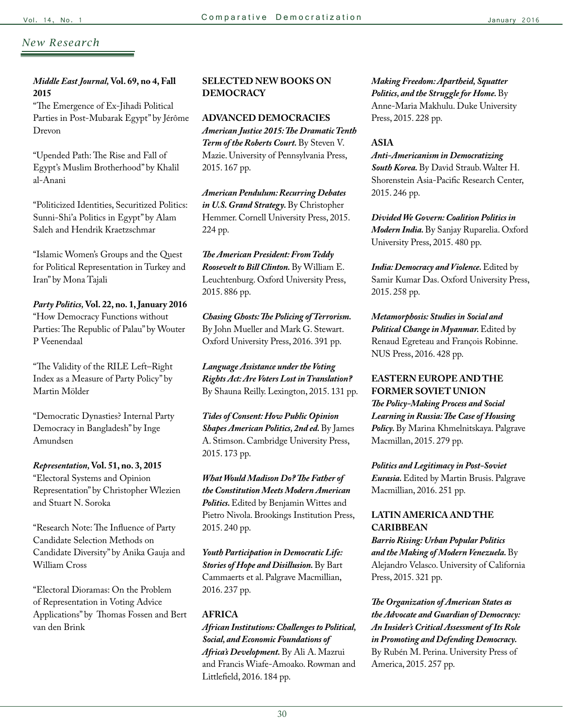### *Middle East Journal,* **Vol. 69, no 4, Fall 2015**

"The Emergence of Ex-Jihadi Political Parties in Post-Mubarak Egypt" by Jérôme Drevon

"Upended Path: The Rise and Fall of Egypt's Muslim Brotherhood" by Khalil al-Anani

"Politicized Identities, Securitized Politics: Sunni-Shi'a Politics in Egypt" by Alam Saleh and Hendrik Kraetzschmar

"Islamic Women's Groups and the Quest for Political Representation in Turkey and Iran" by Mona Tajali

*Party Politics,* **Vol. 22, no. 1, January 2016** "How Democracy Functions without Parties: The Republic of Palau" by Wouter P Veenendaal

"The Validity of the RILE Left–Right Index as a Measure of Party Policy" by Martin Mölder

"Democratic Dynasties? Internal Party Democracy in Bangladesh" by Inge Amundsen

*Representation,* **Vol. 51, no. 3, 2015** "Electoral Systems and Opinion Representation" by Christopher Wlezien and Stuart N. Soroka

"Research Note: The Influence of Party Candidate Selection Methods on Candidate Diversity" by Anika Gauja and William Cross

"Electoral Dioramas: On the Problem of Representation in Voting Advice Applications" by Thomas Fossen and Bert van den Brink

### **SELECTED NEW BOOKS ON DEMOCRACY**

**ADVANCED DEMOCRACIES** *American Justice 2015: The Dramatic Tenth Term of the Roberts Court.* By Steven V. Mazie. University of Pennsylvania Press, 2015. 167 pp.

*American Pendulum: Recurring Debates in U.S. Grand Strategy.* By Christopher Hemmer. Cornell University Press, 2015. 224 pp.

*The American President: From Teddy Roosevelt to Bill Clinton.* By William E. Leuchtenburg. Oxford University Press, 2015. 886 pp.

*Chasing Ghosts: The Policing of Terrorism.*  By John Mueller and Mark G. Stewart. Oxford University Press, 2016. 391 pp.

*Language Assistance under the Voting Rights Act: Are Voters Lost in Translation?*  By Shauna Reilly. Lexington, 2015. 131 pp.

*Tides of Consent: How Public Opinion Shapes American Politics, 2nd ed.* By James A. Stimson. Cambridge University Press, 2015. 173 pp.

*What Would Madison Do? The Father of the Constitution Meets Modern American Politics.* Edited by Benjamin Wittes and Pietro Nivola. Brookings Institution Press, 2015. 240 pp.

*Youth Participation in Democratic Life: Stories of Hope and Disillusion.* By Bart Cammaerts et al. Palgrave Macmillian, 2016. 237 pp.

### **AFRICA**

*African Institutions: Challenges to Political, Social, and Economic Foundations of Africa's Development.* By Ali A. Mazrui and Francis Wiafe-Amoako. Rowman and Littlefield, 2016. 184 pp.

*Making Freedom: Apartheid, Squatter Politics, and the Struggle for Home.* By Anne-Maria Makhulu. Duke University Press, 2015. 228 pp.

#### **ASIA**

*Anti-Americanism in Democratizing South Korea.* By David Straub. Walter H. Shorenstein Asia-Pacific Research Center, 2015. 246 pp.

*Divided We Govern: Coalition Politics in Modern India.* By Sanjay Ruparelia. Oxford University Press, 2015. 480 pp.

*India: Democracy and Violence.* Edited by Samir Kumar Das. Oxford University Press, 2015. 258 pp.

*Metamorphosis: Studies in Social and Political Change in Myanmar.* Edited by Renaud Egreteau and François Robinne. NUS Press, 2016. 428 pp.

### **EASTERN EUROPE AND THE FORMER SOVIET UNION**

*The Policy-Making Process and Social Learning in Russia: The Case of Housing Policy.* By Marina Khmelnitskaya. Palgrave Macmillan, 2015. 279 pp.

*Politics and Legitimacy in Post-Soviet Eurasia.* Edited by Martin Brusis. Palgrave Macmillian, 2016. 251 pp.

### **LATIN AMERICA AND THE CARIBBEAN**

*Barrio Rising: Urban Popular Politics and the Making of Modern Venezuela.* By Alejandro Velasco. University of California Press, 2015. 321 pp.

*The Organization of American States as the Advocate and Guardian of Democracy: An Insider's Critical Assessment of Its Role in Promoting and Defending Democracy.*  By Rubén M. Perina. University Press of America, 2015. 257 pp.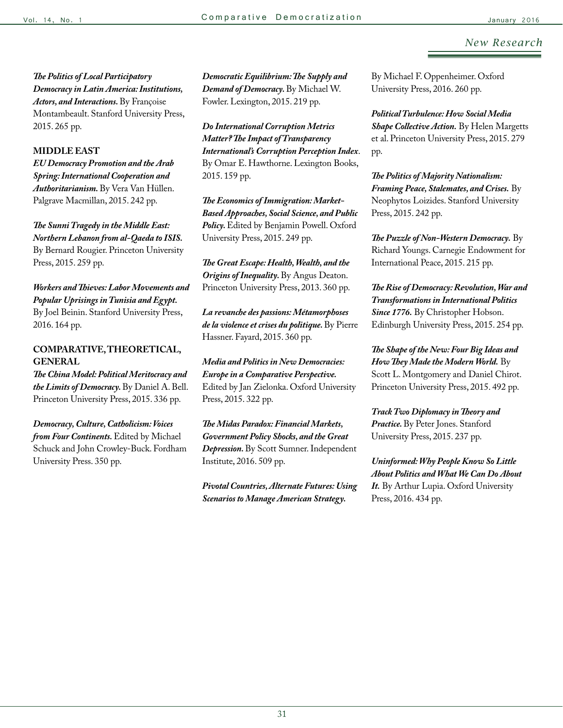*The Politics of Local Participatory Democracy in Latin America: Institutions, Actors, and Interactions.* By Françoise Montambeault. Stanford University Press, 2015. 265 pp.

#### **MIDDLE EAST**

*EU Democracy Promotion and the Arab Spring: International Cooperation and Authoritarianism.* By Vera Van Hüllen. Palgrave Macmillan, 2015. 242 pp.

*The Sunni Tragedy in the Middle East: Northern Lebanon from al-Qaeda to ISIS.*  By Bernard Rougier. Princeton University Press, 2015. 259 pp.

*Workers and Thieves: Labor Movements and Popular Uprisings in Tunisia and Egypt.*  By Joel Beinin. Stanford University Press, 2016. 164 pp.

### **COMPARATIVE, THEORETICAL, GENERAL**

*The China Model: Political Meritocracy and the Limits of Democracy.* By Daniel A. Bell. Princeton University Press, 2015. 336 pp.

*Democracy, Culture, Catholicism: Voices from Four Continents.* Edited by Michael Schuck and John Crowley-Buck. Fordham University Press. 350 pp.

*Democratic Equilibrium: The Supply and Demand of Democracy.* By Michael W. Fowler. Lexington, 2015. 219 pp.

*Do International Corruption Metrics Matter? The Impact of Transparency International's Corruption Perception Index*. By Omar E. Hawthorne. Lexington Books, 2015. 159 pp.

*The Economics of Immigration: Market-Based Approaches, Social Science, and Public Policy.* Edited by Benjamin Powell. Oxford University Press, 2015. 249 pp.

*The Great Escape: Health, Wealth, and the Origins of Inequality.* By Angus Deaton. Princeton University Press, 2013. 360 pp.

*La revanche des passions: Métamorphoses de la violence et crises du politique.* By Pierre Hassner. Fayard, 2015. 360 pp.

*Media and Politics in New Democracies: Europe in a Comparative Perspective.*  Edited by Jan Zielonka. Oxford University Press, 2015. 322 pp.

*The Midas Paradox: Financial Markets, Government Policy Shocks, and the Great Depression.* By Scott Sumner. Independent Institute, 2016. 509 pp.

*Pivotal Countries, Alternate Futures: Using Scenarios to Manage American Strategy.* 

By Michael F. Oppenheimer. Oxford University Press, 2016. 260 pp.

*Political Turbulence: How Social Media Shape Collective Action.* By Helen Margetts et al. Princeton University Press, 2015. 279 pp.

*The Politics of Majority Nationalism: Framing Peace, Stalemates, and Crises.* By Neophytos Loizides. Stanford University Press, 2015. 242 pp.

*The Puzzle of Non-Western Democracy.* By Richard Youngs. Carnegie Endowment for International Peace, 2015. 215 pp.

*The Rise of Democracy: Revolution, War and Transformations in International Politics Since 1776.* By Christopher Hobson. Edinburgh University Press, 2015. 254 pp.

*The Shape of the New: Four Big Ideas and How They Made the Modern World.* By Scott L. Montgomery and Daniel Chirot. Princeton University Press, 2015. 492 pp.

*Track Two Diplomacy in Theory and Practice.* By Peter Jones. Stanford University Press, 2015. 237 pp.

*Uninformed: Why People Know So Little About Politics and What We Can Do About It.* By Arthur Lupia. Oxford University Press, 2016. 434 pp.